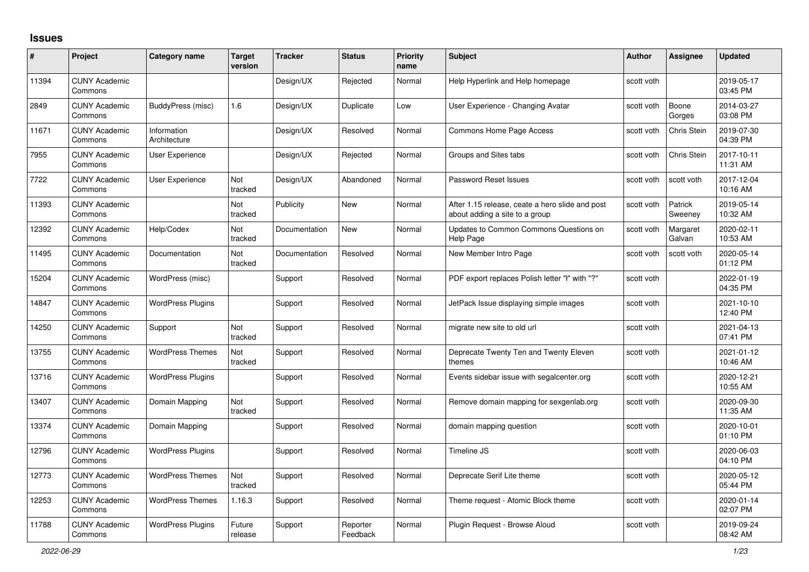## **Issues**

| $\#$  | Project                         | Category name               | <b>Target</b><br>version | <b>Tracker</b> | <b>Status</b>        | <b>Priority</b><br>name | <b>Subject</b>                                                                    | <b>Author</b> | Assignee           | <b>Updated</b>         |
|-------|---------------------------------|-----------------------------|--------------------------|----------------|----------------------|-------------------------|-----------------------------------------------------------------------------------|---------------|--------------------|------------------------|
| 11394 | <b>CUNY Academic</b><br>Commons |                             |                          | Design/UX      | Rejected             | Normal                  | Help Hyperlink and Help homepage                                                  | scott voth    |                    | 2019-05-17<br>03:45 PM |
| 2849  | <b>CUNY Academic</b><br>Commons | BuddyPress (misc)           | 1.6                      | Design/UX      | Duplicate            | Low                     | User Experience - Changing Avatar                                                 | scott voth    | Boone<br>Gorges    | 2014-03-27<br>03:08 PM |
| 11671 | <b>CUNY Academic</b><br>Commons | Information<br>Architecture |                          | Design/UX      | Resolved             | Normal                  | Commons Home Page Access                                                          | scott voth    | Chris Stein        | 2019-07-30<br>04:39 PM |
| 7955  | <b>CUNY Academic</b><br>Commons | User Experience             |                          | Design/UX      | Rejected             | Normal                  | Groups and Sites tabs                                                             | scott voth    | Chris Stein        | 2017-10-11<br>11:31 AM |
| 7722  | <b>CUNY Academic</b><br>Commons | User Experience             | Not<br>tracked           | Design/UX      | Abandoned            | Normal                  | Password Reset Issues                                                             | scott voth    | scott voth         | 2017-12-04<br>10:16 AM |
| 11393 | <b>CUNY Academic</b><br>Commons |                             | <b>Not</b><br>tracked    | Publicity      | <b>New</b>           | Normal                  | After 1.15 release, ceate a hero slide and post<br>about adding a site to a group | scott voth    | Patrick<br>Sweeney | 2019-05-14<br>10:32 AM |
| 12392 | <b>CUNY Academic</b><br>Commons | Help/Codex                  | <b>Not</b><br>tracked    | Documentation  | <b>New</b>           | Normal                  | Updates to Common Commons Questions on<br>Help Page                               | scott voth    | Margaret<br>Galvan | 2020-02-11<br>10:53 AM |
| 11495 | <b>CUNY Academic</b><br>Commons | Documentation               | Not<br>tracked           | Documentation  | Resolved             | Normal                  | New Member Intro Page                                                             | scott voth    | scott voth         | 2020-05-14<br>01:12 PM |
| 15204 | <b>CUNY Academic</b><br>Commons | WordPress (misc)            |                          | Support        | Resolved             | Normal                  | PDF export replaces Polish letter "ł" with "?"                                    | scott voth    |                    | 2022-01-19<br>04:35 PM |
| 14847 | <b>CUNY Academic</b><br>Commons | <b>WordPress Plugins</b>    |                          | Support        | Resolved             | Normal                  | JetPack Issue displaying simple images                                            | scott voth    |                    | 2021-10-10<br>12:40 PM |
| 14250 | <b>CUNY Academic</b><br>Commons | Support                     | Not<br>tracked           | Support        | Resolved             | Normal                  | migrate new site to old url                                                       | scott voth    |                    | 2021-04-13<br>07:41 PM |
| 13755 | <b>CUNY Academic</b><br>Commons | <b>WordPress Themes</b>     | Not<br>tracked           | Support        | Resolved             | Normal                  | Deprecate Twenty Ten and Twenty Eleven<br>themes                                  | scott voth    |                    | 2021-01-12<br>10:46 AM |
| 13716 | <b>CUNY Academic</b><br>Commons | <b>WordPress Plugins</b>    |                          | Support        | Resolved             | Normal                  | Events sidebar issue with segalcenter.org                                         | scott voth    |                    | 2020-12-21<br>10:55 AM |
| 13407 | <b>CUNY Academic</b><br>Commons | Domain Mapping              | Not<br>tracked           | Support        | Resolved             | Normal                  | Remove domain mapping for sexgenlab.org                                           | scott voth    |                    | 2020-09-30<br>11:35 AM |
| 13374 | <b>CUNY Academic</b><br>Commons | Domain Mapping              |                          | Support        | Resolved             | Normal                  | domain mapping question                                                           | scott voth    |                    | 2020-10-01<br>01:10 PM |
| 12796 | <b>CUNY Academic</b><br>Commons | <b>WordPress Plugins</b>    |                          | Support        | Resolved             | Normal                  | Timeline JS                                                                       | scott voth    |                    | 2020-06-03<br>04:10 PM |
| 12773 | <b>CUNY Academic</b><br>Commons | <b>WordPress Themes</b>     | Not<br>tracked           | Support        | Resolved             | Normal                  | Deprecate Serif Lite theme                                                        | scott voth    |                    | 2020-05-12<br>05:44 PM |
| 12253 | <b>CUNY Academic</b><br>Commons | <b>WordPress Themes</b>     | 1.16.3                   | Support        | Resolved             | Normal                  | Theme request - Atomic Block theme                                                | scott voth    |                    | 2020-01-14<br>02:07 PM |
| 11788 | <b>CUNY Academic</b><br>Commons | <b>WordPress Plugins</b>    | Future<br>release        | Support        | Reporter<br>Feedback | Normal                  | Plugin Request - Browse Aloud                                                     | scott voth    |                    | 2019-09-24<br>08:42 AM |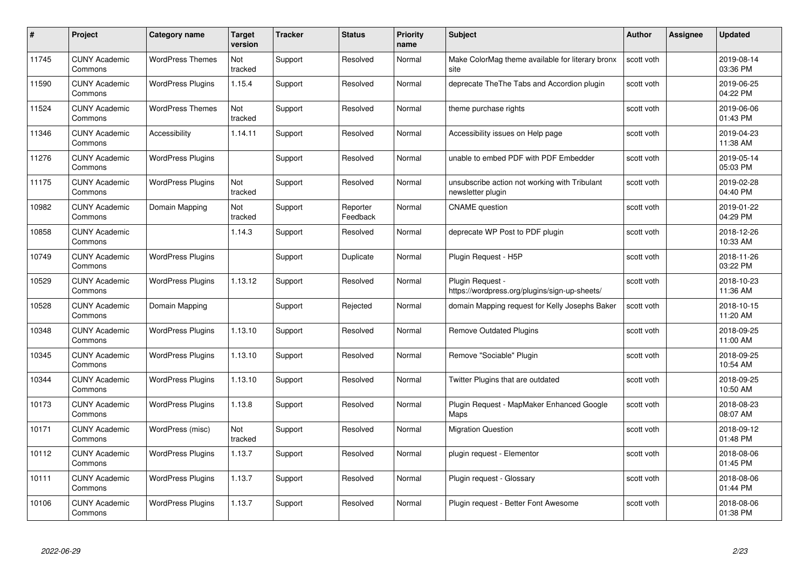| #     | Project                         | Category name            | Target<br>version | <b>Tracker</b> | <b>Status</b>        | <b>Priority</b><br>name | <b>Subject</b>                                                     | <b>Author</b> | <b>Assignee</b> | <b>Updated</b>         |
|-------|---------------------------------|--------------------------|-------------------|----------------|----------------------|-------------------------|--------------------------------------------------------------------|---------------|-----------------|------------------------|
| 11745 | <b>CUNY Academic</b><br>Commons | <b>WordPress Themes</b>  | Not<br>tracked    | Support        | Resolved             | Normal                  | Make ColorMag theme available for literary bronx<br>site           | scott voth    |                 | 2019-08-14<br>03:36 PM |
| 11590 | <b>CUNY Academic</b><br>Commons | <b>WordPress Plugins</b> | 1.15.4            | Support        | Resolved             | Normal                  | deprecate TheThe Tabs and Accordion plugin                         | scott voth    |                 | 2019-06-25<br>04:22 PM |
| 11524 | <b>CUNY Academic</b><br>Commons | <b>WordPress Themes</b>  | Not<br>tracked    | Support        | Resolved             | Normal                  | theme purchase rights                                              | scott voth    |                 | 2019-06-06<br>01:43 PM |
| 11346 | <b>CUNY Academic</b><br>Commons | Accessibility            | 1.14.11           | Support        | Resolved             | Normal                  | Accessibility issues on Help page                                  | scott voth    |                 | 2019-04-23<br>11:38 AM |
| 11276 | <b>CUNY Academic</b><br>Commons | <b>WordPress Plugins</b> |                   | Support        | Resolved             | Normal                  | unable to embed PDF with PDF Embedder                              | scott voth    |                 | 2019-05-14<br>05:03 PM |
| 11175 | <b>CUNY Academic</b><br>Commons | <b>WordPress Plugins</b> | Not<br>tracked    | Support        | Resolved             | Normal                  | unsubscribe action not working with Tribulant<br>newsletter plugin | scott voth    |                 | 2019-02-28<br>04:40 PM |
| 10982 | <b>CUNY Academic</b><br>Commons | Domain Mapping           | Not<br>tracked    | Support        | Reporter<br>Feedback | Normal                  | <b>CNAME</b> question                                              | scott voth    |                 | 2019-01-22<br>04:29 PM |
| 10858 | <b>CUNY Academic</b><br>Commons |                          | 1.14.3            | Support        | Resolved             | Normal                  | deprecate WP Post to PDF plugin                                    | scott voth    |                 | 2018-12-26<br>10:33 AM |
| 10749 | <b>CUNY Academic</b><br>Commons | <b>WordPress Plugins</b> |                   | Support        | Duplicate            | Normal                  | Plugin Request - H5P                                               | scott voth    |                 | 2018-11-26<br>03:22 PM |
| 10529 | <b>CUNY Academic</b><br>Commons | <b>WordPress Plugins</b> | 1.13.12           | Support        | Resolved             | Normal                  | Plugin Request -<br>https://wordpress.org/plugins/sign-up-sheets/  | scott voth    |                 | 2018-10-23<br>11:36 AM |
| 10528 | CUNY Academic<br>Commons        | Domain Mapping           |                   | Support        | Rejected             | Normal                  | domain Mapping request for Kelly Josephs Baker                     | scott voth    |                 | 2018-10-15<br>11:20 AM |
| 10348 | <b>CUNY Academic</b><br>Commons | <b>WordPress Plugins</b> | 1.13.10           | Support        | Resolved             | Normal                  | <b>Remove Outdated Plugins</b>                                     | scott voth    |                 | 2018-09-25<br>11:00 AM |
| 10345 | <b>CUNY Academic</b><br>Commons | <b>WordPress Plugins</b> | 1.13.10           | Support        | Resolved             | Normal                  | Remove "Sociable" Plugin                                           | scott voth    |                 | 2018-09-25<br>10:54 AM |
| 10344 | <b>CUNY Academic</b><br>Commons | <b>WordPress Plugins</b> | 1.13.10           | Support        | Resolved             | Normal                  | Twitter Plugins that are outdated                                  | scott voth    |                 | 2018-09-25<br>10:50 AM |
| 10173 | <b>CUNY Academic</b><br>Commons | <b>WordPress Plugins</b> | 1.13.8            | Support        | Resolved             | Normal                  | Plugin Request - MapMaker Enhanced Google<br>Maps                  | scott voth    |                 | 2018-08-23<br>08:07 AM |
| 10171 | <b>CUNY Academic</b><br>Commons | WordPress (misc)         | Not<br>tracked    | Support        | Resolved             | Normal                  | <b>Migration Question</b>                                          | scott voth    |                 | 2018-09-12<br>01:48 PM |
| 10112 | <b>CUNY Academic</b><br>Commons | <b>WordPress Plugins</b> | 1.13.7            | Support        | Resolved             | Normal                  | plugin request - Elementor                                         | scott voth    |                 | 2018-08-06<br>01:45 PM |
| 10111 | <b>CUNY Academic</b><br>Commons | <b>WordPress Plugins</b> | 1.13.7            | Support        | Resolved             | Normal                  | Plugin request - Glossary                                          | scott voth    |                 | 2018-08-06<br>01:44 PM |
| 10106 | CUNY Academic<br>Commons        | <b>WordPress Plugins</b> | 1.13.7            | Support        | Resolved             | Normal                  | Plugin reguest - Better Font Awesome                               | scott voth    |                 | 2018-08-06<br>01:38 PM |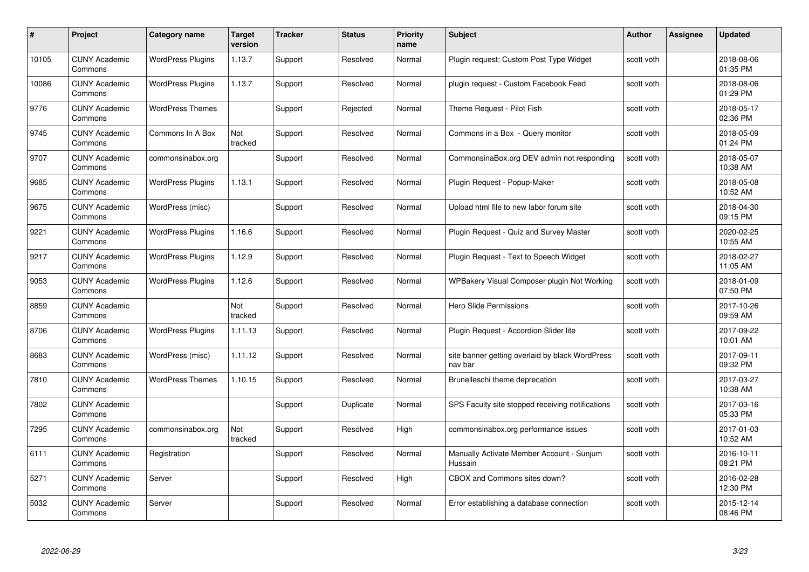| #     | Project                         | <b>Category name</b>     | Target<br>version | <b>Tracker</b> | <b>Status</b> | <b>Priority</b><br>name | <b>Subject</b>                                             | <b>Author</b> | <b>Assignee</b> | <b>Updated</b>         |
|-------|---------------------------------|--------------------------|-------------------|----------------|---------------|-------------------------|------------------------------------------------------------|---------------|-----------------|------------------------|
| 10105 | <b>CUNY Academic</b><br>Commons | <b>WordPress Plugins</b> | 1.13.7            | Support        | Resolved      | Normal                  | Plugin request: Custom Post Type Widget                    | scott voth    |                 | 2018-08-06<br>01:35 PM |
| 10086 | <b>CUNY Academic</b><br>Commons | <b>WordPress Plugins</b> | 1.13.7            | Support        | Resolved      | Normal                  | plugin request - Custom Facebook Feed                      | scott voth    |                 | 2018-08-06<br>01:29 PM |
| 9776  | <b>CUNY Academic</b><br>Commons | <b>WordPress Themes</b>  |                   | Support        | Rejected      | Normal                  | Theme Request - Pilot Fish                                 | scott voth    |                 | 2018-05-17<br>02:36 PM |
| 9745  | <b>CUNY Academic</b><br>Commons | Commons In A Box         | Not<br>tracked    | Support        | Resolved      | Normal                  | Commons in a Box - Query monitor                           | scott voth    |                 | 2018-05-09<br>01:24 PM |
| 9707  | <b>CUNY Academic</b><br>Commons | commonsinabox.org        |                   | Support        | Resolved      | Normal                  | CommonsinaBox.org DEV admin not responding                 | scott voth    |                 | 2018-05-07<br>10:38 AM |
| 9685  | <b>CUNY Academic</b><br>Commons | <b>WordPress Plugins</b> | 1.13.1            | Support        | Resolved      | Normal                  | Plugin Request - Popup-Maker                               | scott voth    |                 | 2018-05-08<br>10:52 AM |
| 9675  | <b>CUNY Academic</b><br>Commons | WordPress (misc)         |                   | Support        | Resolved      | Normal                  | Upload html file to new labor forum site                   | scott voth    |                 | 2018-04-30<br>09:15 PM |
| 9221  | <b>CUNY Academic</b><br>Commons | <b>WordPress Plugins</b> | 1.16.6            | Support        | Resolved      | Normal                  | Plugin Request - Quiz and Survey Master                    | scott voth    |                 | 2020-02-25<br>10:55 AM |
| 9217  | <b>CUNY Academic</b><br>Commons | <b>WordPress Plugins</b> | 1.12.9            | Support        | Resolved      | Normal                  | Plugin Request - Text to Speech Widget                     | scott voth    |                 | 2018-02-27<br>11:05 AM |
| 9053  | <b>CUNY Academic</b><br>Commons | <b>WordPress Plugins</b> | 1.12.6            | Support        | Resolved      | Normal                  | WPBakery Visual Composer plugin Not Working                | scott voth    |                 | 2018-01-09<br>07:50 PM |
| 8859  | <b>CUNY Academic</b><br>Commons |                          | Not<br>tracked    | Support        | Resolved      | Normal                  | <b>Hero Slide Permissions</b>                              | scott voth    |                 | 2017-10-26<br>09:59 AM |
| 8706  | <b>CUNY Academic</b><br>Commons | <b>WordPress Plugins</b> | 1.11.13           | Support        | Resolved      | Normal                  | Plugin Request - Accordion Slider lite                     | scott voth    |                 | 2017-09-22<br>10:01 AM |
| 8683  | <b>CUNY Academic</b><br>Commons | WordPress (misc)         | 1.11.12           | Support        | Resolved      | Normal                  | site banner getting overlaid by black WordPress<br>nav bar | scott voth    |                 | 2017-09-11<br>09:32 PM |
| 7810  | <b>CUNY Academic</b><br>Commons | <b>WordPress Themes</b>  | 1.10.15           | Support        | Resolved      | Normal                  | Brunelleschi theme deprecation                             | scott voth    |                 | 2017-03-27<br>10:38 AM |
| 7802  | <b>CUNY Academic</b><br>Commons |                          |                   | Support        | Duplicate     | Normal                  | SPS Faculty site stopped receiving notifications           | scott voth    |                 | 2017-03-16<br>05:33 PM |
| 7295  | <b>CUNY Academic</b><br>Commons | commonsinabox.org        | Not<br>tracked    | Support        | Resolved      | High                    | commonsinabox.org performance issues                       | scott voth    |                 | 2017-01-03<br>10:52 AM |
| 6111  | <b>CUNY Academic</b><br>Commons | Registration             |                   | Support        | Resolved      | Normal                  | Manually Activate Member Account - Sunjum<br>Hussain       | scott voth    |                 | 2016-10-11<br>08:21 PM |
| 5271  | <b>CUNY Academic</b><br>Commons | Server                   |                   | Support        | Resolved      | High                    | CBOX and Commons sites down?                               | scott voth    |                 | 2016-02-28<br>12:30 PM |
| 5032  | CUNY Academic<br>Commons        | Server                   |                   | Support        | Resolved      | Normal                  | Error establishing a database connection                   | scott voth    |                 | 2015-12-14<br>08:46 PM |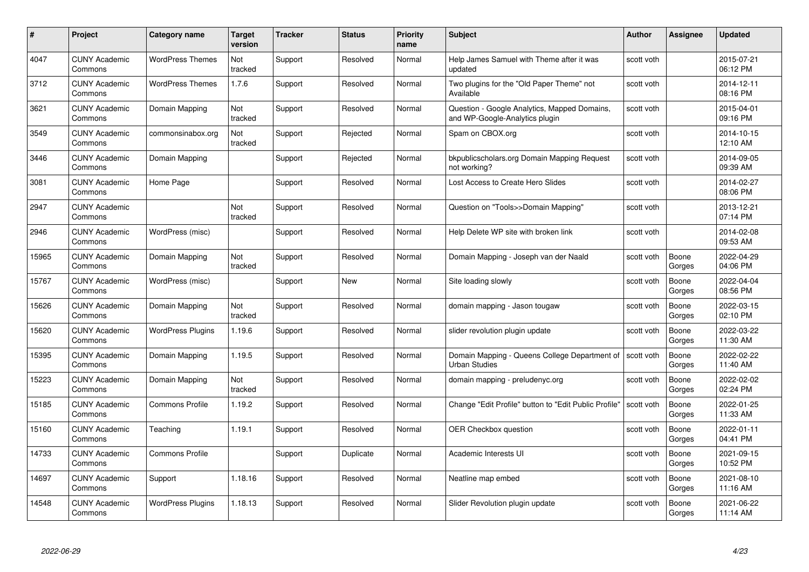| #     | Project                         | Category name            | <b>Target</b><br>version | <b>Tracker</b> | <b>Status</b> | <b>Priority</b><br>name | <b>Subject</b>                                                                 | <b>Author</b> | <b>Assignee</b> | <b>Updated</b>         |
|-------|---------------------------------|--------------------------|--------------------------|----------------|---------------|-------------------------|--------------------------------------------------------------------------------|---------------|-----------------|------------------------|
| 4047  | <b>CUNY Academic</b><br>Commons | <b>WordPress Themes</b>  | Not<br>tracked           | Support        | Resolved      | Normal                  | Help James Samuel with Theme after it was<br>updated                           | scott voth    |                 | 2015-07-21<br>06:12 PM |
| 3712  | <b>CUNY Academic</b><br>Commons | <b>WordPress Themes</b>  | 1.7.6                    | Support        | Resolved      | Normal                  | Two plugins for the "Old Paper Theme" not<br>Available                         | scott voth    |                 | 2014-12-11<br>08:16 PM |
| 3621  | <b>CUNY Academic</b><br>Commons | Domain Mapping           | Not<br>tracked           | Support        | Resolved      | Normal                  | Question - Google Analytics, Mapped Domains,<br>and WP-Google-Analytics plugin | scott voth    |                 | 2015-04-01<br>09:16 PM |
| 3549  | <b>CUNY Academic</b><br>Commons | commonsinabox.org        | Not<br>tracked           | Support        | Rejected      | Normal                  | Spam on CBOX.org                                                               | scott voth    |                 | 2014-10-15<br>12:10 AM |
| 3446  | <b>CUNY Academic</b><br>Commons | Domain Mapping           |                          | Support        | Rejected      | Normal                  | bkpublicscholars.org Domain Mapping Request<br>not working?                    | scott voth    |                 | 2014-09-05<br>09:39 AM |
| 3081  | <b>CUNY Academic</b><br>Commons | Home Page                |                          | Support        | Resolved      | Normal                  | Lost Access to Create Hero Slides                                              | scott voth    |                 | 2014-02-27<br>08:06 PM |
| 2947  | <b>CUNY Academic</b><br>Commons |                          | Not<br>tracked           | Support        | Resolved      | Normal                  | Question on "Tools>>Domain Mapping"                                            | scott voth    |                 | 2013-12-21<br>07:14 PM |
| 2946  | <b>CUNY Academic</b><br>Commons | WordPress (misc)         |                          | Support        | Resolved      | Normal                  | Help Delete WP site with broken link                                           | scott voth    |                 | 2014-02-08<br>09:53 AM |
| 15965 | <b>CUNY Academic</b><br>Commons | Domain Mapping           | Not<br>tracked           | Support        | Resolved      | Normal                  | Domain Mapping - Joseph van der Naald                                          | scott voth    | Boone<br>Gorges | 2022-04-29<br>04:06 PM |
| 15767 | <b>CUNY Academic</b><br>Commons | WordPress (misc)         |                          | Support        | New           | Normal                  | Site loading slowly                                                            | scott voth    | Boone<br>Gorges | 2022-04-04<br>08:56 PM |
| 15626 | <b>CUNY Academic</b><br>Commons | Domain Mapping           | Not<br>tracked           | Support        | Resolved      | Normal                  | domain mapping - Jason tougaw                                                  | scott voth    | Boone<br>Gorges | 2022-03-15<br>02:10 PM |
| 15620 | <b>CUNY Academic</b><br>Commons | <b>WordPress Plugins</b> | 1.19.6                   | Support        | Resolved      | Normal                  | slider revolution plugin update                                                | scott voth    | Boone<br>Gorges | 2022-03-22<br>11:30 AM |
| 15395 | <b>CUNY Academic</b><br>Commons | Domain Mapping           | 1.19.5                   | Support        | Resolved      | Normal                  | Domain Mapping - Queens College Department of   scott voth<br>Urban Studies    |               | Boone<br>Gorges | 2022-02-22<br>11:40 AM |
| 15223 | <b>CUNY Academic</b><br>Commons | Domain Mapping           | Not<br>tracked           | Support        | Resolved      | Normal                  | domain mapping - preludenyc.org                                                | scott voth    | Boone<br>Gorges | 2022-02-02<br>02:24 PM |
| 15185 | <b>CUNY Academic</b><br>Commons | <b>Commons Profile</b>   | 1.19.2                   | Support        | Resolved      | Normal                  | Change "Edit Profile" button to "Edit Public Profile"                          | scott voth    | Boone<br>Gorges | 2022-01-25<br>11:33 AM |
| 15160 | <b>CUNY Academic</b><br>Commons | Teaching                 | 1.19.1                   | Support        | Resolved      | Normal                  | <b>OER Checkbox question</b>                                                   | scott voth    | Boone<br>Gorges | 2022-01-11<br>04:41 PM |
| 14733 | <b>CUNY Academic</b><br>Commons | <b>Commons Profile</b>   |                          | Support        | Duplicate     | Normal                  | Academic Interests UI                                                          | scott voth    | Boone<br>Gorges | 2021-09-15<br>10:52 PM |
| 14697 | <b>CUNY Academic</b><br>Commons | Support                  | 1.18.16                  | Support        | Resolved      | Normal                  | Neatline map embed                                                             | scott voth    | Boone<br>Gorges | 2021-08-10<br>11:16 AM |
| 14548 | CUNY Academic<br>Commons        | <b>WordPress Plugins</b> | 1.18.13                  | Support        | Resolved      | Normal                  | Slider Revolution plugin update                                                | scott voth    | Boone<br>Gorges | 2021-06-22<br>11:14 AM |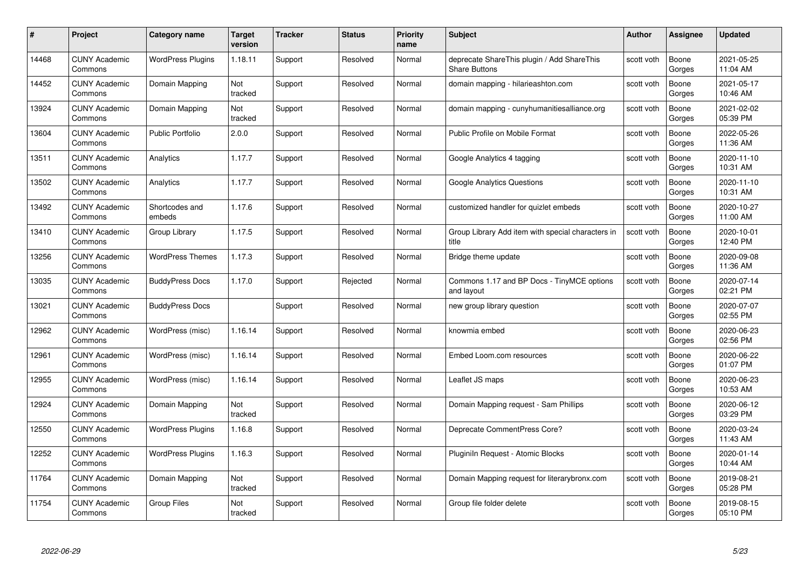| #     | Project                         | <b>Category name</b>     | <b>Target</b><br>version | <b>Tracker</b> | <b>Status</b> | <b>Priority</b><br>name | <b>Subject</b>                                                     | <b>Author</b> | <b>Assignee</b> | <b>Updated</b>         |
|-------|---------------------------------|--------------------------|--------------------------|----------------|---------------|-------------------------|--------------------------------------------------------------------|---------------|-----------------|------------------------|
| 14468 | <b>CUNY Academic</b><br>Commons | <b>WordPress Plugins</b> | 1.18.11                  | Support        | Resolved      | Normal                  | deprecate ShareThis plugin / Add ShareThis<br><b>Share Buttons</b> | scott voth    | Boone<br>Gorges | 2021-05-25<br>11:04 AM |
| 14452 | <b>CUNY Academic</b><br>Commons | Domain Mapping           | <b>Not</b><br>tracked    | Support        | Resolved      | Normal                  | domain mapping - hilarieashton.com                                 | scott voth    | Boone<br>Gorges | 2021-05-17<br>10:46 AM |
| 13924 | <b>CUNY Academic</b><br>Commons | Domain Mapping           | Not<br>tracked           | Support        | Resolved      | Normal                  | domain mapping - cunyhumanitiesalliance.org                        | scott voth    | Boone<br>Gorges | 2021-02-02<br>05:39 PM |
| 13604 | <b>CUNY Academic</b><br>Commons | <b>Public Portfolio</b>  | 2.0.0                    | Support        | Resolved      | Normal                  | Public Profile on Mobile Format                                    | scott voth    | Boone<br>Gorges | 2022-05-26<br>11:36 AM |
| 13511 | <b>CUNY Academic</b><br>Commons | Analytics                | 1.17.7                   | Support        | Resolved      | Normal                  | Google Analytics 4 tagging                                         | scott voth    | Boone<br>Gorges | 2020-11-10<br>10:31 AM |
| 13502 | <b>CUNY Academic</b><br>Commons | Analytics                | 1.17.7                   | Support        | Resolved      | Normal                  | Google Analytics Questions                                         | scott voth    | Boone<br>Gorges | 2020-11-10<br>10:31 AM |
| 13492 | <b>CUNY Academic</b><br>Commons | Shortcodes and<br>embeds | 1.17.6                   | Support        | Resolved      | Normal                  | customized handler for quizlet embeds                              | scott voth    | Boone<br>Gorges | 2020-10-27<br>11:00 AM |
| 13410 | <b>CUNY Academic</b><br>Commons | Group Library            | 1.17.5                   | Support        | Resolved      | Normal                  | Group Library Add item with special characters in<br>title         | scott voth    | Boone<br>Gorges | 2020-10-01<br>12:40 PM |
| 13256 | <b>CUNY Academic</b><br>Commons | <b>WordPress Themes</b>  | 1.17.3                   | Support        | Resolved      | Normal                  | Bridge theme update                                                | scott voth    | Boone<br>Gorges | 2020-09-08<br>11:36 AM |
| 13035 | <b>CUNY Academic</b><br>Commons | <b>BuddyPress Docs</b>   | 1.17.0                   | Support        | Rejected      | Normal                  | Commons 1.17 and BP Docs - TinyMCE options<br>and layout           | scott voth    | Boone<br>Gorges | 2020-07-14<br>02:21 PM |
| 13021 | <b>CUNY Academic</b><br>Commons | <b>BuddyPress Docs</b>   |                          | Support        | Resolved      | Normal                  | new group library question                                         | scott voth    | Boone<br>Gorges | 2020-07-07<br>02:55 PM |
| 12962 | <b>CUNY Academic</b><br>Commons | WordPress (misc)         | 1.16.14                  | Support        | Resolved      | Normal                  | knowmia embed                                                      | scott voth    | Boone<br>Gorges | 2020-06-23<br>02:56 PM |
| 12961 | <b>CUNY Academic</b><br>Commons | WordPress (misc)         | 1.16.14                  | Support        | Resolved      | Normal                  | Embed Loom.com resources                                           | scott voth    | Boone<br>Gorges | 2020-06-22<br>01:07 PM |
| 12955 | <b>CUNY Academic</b><br>Commons | WordPress (misc)         | 1.16.14                  | Support        | Resolved      | Normal                  | Leaflet JS maps                                                    | scott voth    | Boone<br>Gorges | 2020-06-23<br>10:53 AM |
| 12924 | <b>CUNY Academic</b><br>Commons | Domain Mapping           | Not<br>tracked           | Support        | Resolved      | Normal                  | Domain Mapping request - Sam Phillips                              | scott voth    | Boone<br>Gorges | 2020-06-12<br>03:29 PM |
| 12550 | <b>CUNY Academic</b><br>Commons | <b>WordPress Plugins</b> | 1.16.8                   | Support        | Resolved      | Normal                  | Deprecate CommentPress Core?                                       | scott voth    | Boone<br>Gorges | 2020-03-24<br>11:43 AM |
| 12252 | <b>CUNY Academic</b><br>Commons | <b>WordPress Plugins</b> | 1.16.3                   | Support        | Resolved      | Normal                  | Pluginiln Request - Atomic Blocks                                  | scott voth    | Boone<br>Gorges | 2020-01-14<br>10:44 AM |
| 11764 | <b>CUNY Academic</b><br>Commons | Domain Mapping           | Not<br>tracked           | Support        | Resolved      | Normal                  | Domain Mapping request for literarybronx.com                       | scott voth    | Boone<br>Gorges | 2019-08-21<br>05:28 PM |
| 11754 | <b>CUNY Academic</b><br>Commons | <b>Group Files</b>       | Not<br>tracked           | Support        | Resolved      | Normal                  | Group file folder delete                                           | scott voth    | Boone<br>Gorges | 2019-08-15<br>05:10 PM |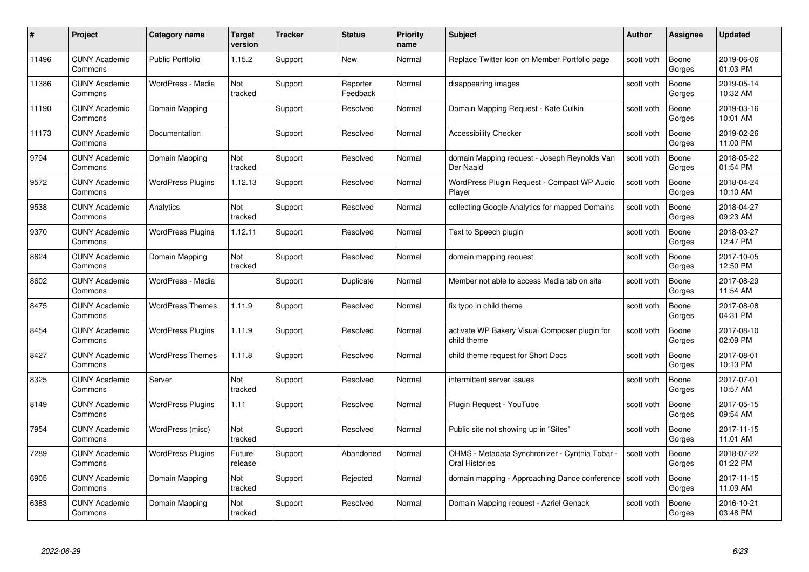| #     | Project                         | <b>Category name</b>     | Target<br>version | <b>Tracker</b> | <b>Status</b>        | <b>Priority</b><br>name | <b>Subject</b>                                                          | <b>Author</b> | <b>Assignee</b> | <b>Updated</b>         |
|-------|---------------------------------|--------------------------|-------------------|----------------|----------------------|-------------------------|-------------------------------------------------------------------------|---------------|-----------------|------------------------|
| 11496 | <b>CUNY Academic</b><br>Commons | <b>Public Portfolio</b>  | 1.15.2            | Support        | <b>New</b>           | Normal                  | Replace Twitter Icon on Member Portfolio page                           | scott voth    | Boone<br>Gorges | 2019-06-06<br>01:03 PM |
| 11386 | <b>CUNY Academic</b><br>Commons | WordPress - Media        | Not<br>tracked    | Support        | Reporter<br>Feedback | Normal                  | disappearing images                                                     | scott voth    | Boone<br>Gorges | 2019-05-14<br>10:32 AM |
| 11190 | <b>CUNY Academic</b><br>Commons | Domain Mapping           |                   | Support        | Resolved             | Normal                  | Domain Mapping Request - Kate Culkin                                    | scott voth    | Boone<br>Gorges | 2019-03-16<br>10:01 AM |
| 11173 | <b>CUNY Academic</b><br>Commons | Documentation            |                   | Support        | Resolved             | Normal                  | <b>Accessibility Checker</b>                                            | scott voth    | Boone<br>Gorges | 2019-02-26<br>11:00 PM |
| 9794  | CUNY Academic<br>Commons        | Domain Mapping           | Not<br>tracked    | Support        | Resolved             | Normal                  | domain Mapping request - Joseph Reynolds Van<br>Der Naald               | scott voth    | Boone<br>Gorges | 2018-05-22<br>01:54 PM |
| 9572  | <b>CUNY Academic</b><br>Commons | <b>WordPress Plugins</b> | 1.12.13           | Support        | Resolved             | Normal                  | WordPress Plugin Request - Compact WP Audio<br>Player                   | scott voth    | Boone<br>Gorges | 2018-04-24<br>10:10 AM |
| 9538  | <b>CUNY Academic</b><br>Commons | Analytics                | Not<br>tracked    | Support        | Resolved             | Normal                  | collecting Google Analytics for mapped Domains                          | scott voth    | Boone<br>Gorges | 2018-04-27<br>09:23 AM |
| 9370  | <b>CUNY Academic</b><br>Commons | <b>WordPress Plugins</b> | 1.12.11           | Support        | Resolved             | Normal                  | Text to Speech plugin                                                   | scott voth    | Boone<br>Gorges | 2018-03-27<br>12:47 PM |
| 8624  | <b>CUNY Academic</b><br>Commons | Domain Mapping           | Not<br>tracked    | Support        | Resolved             | Normal                  | domain mapping request                                                  | scott voth    | Boone<br>Gorges | 2017-10-05<br>12:50 PM |
| 8602  | <b>CUNY Academic</b><br>Commons | WordPress - Media        |                   | Support        | Duplicate            | Normal                  | Member not able to access Media tab on site                             | scott voth    | Boone<br>Gorges | 2017-08-29<br>11:54 AM |
| 8475  | CUNY Academic<br>Commons        | <b>WordPress Themes</b>  | 1.11.9            | Support        | Resolved             | Normal                  | fix typo in child theme                                                 | scott voth    | Boone<br>Gorges | 2017-08-08<br>04:31 PM |
| 8454  | <b>CUNY Academic</b><br>Commons | <b>WordPress Plugins</b> | 1.11.9            | Support        | Resolved             | Normal                  | activate WP Bakery Visual Composer plugin for<br>child theme            | scott voth    | Boone<br>Gorges | 2017-08-10<br>02:09 PM |
| 8427  | <b>CUNY Academic</b><br>Commons | <b>WordPress Themes</b>  | 1.11.8            | Support        | Resolved             | Normal                  | child theme request for Short Docs                                      | scott voth    | Boone<br>Gorges | 2017-08-01<br>10:13 PM |
| 8325  | <b>CUNY Academic</b><br>Commons | Server                   | Not<br>tracked    | Support        | Resolved             | Normal                  | intermittent server issues                                              | scott voth    | Boone<br>Gorges | 2017-07-01<br>10:57 AM |
| 8149  | <b>CUNY Academic</b><br>Commons | <b>WordPress Plugins</b> | 1.11              | Support        | Resolved             | Normal                  | Plugin Request - YouTube                                                | scott voth    | Boone<br>Gorges | 2017-05-15<br>09:54 AM |
| 7954  | <b>CUNY Academic</b><br>Commons | WordPress (misc)         | Not<br>tracked    | Support        | Resolved             | Normal                  | Public site not showing up in "Sites"                                   | scott voth    | Boone<br>Gorges | 2017-11-15<br>11:01 AM |
| 7289  | <b>CUNY Academic</b><br>Commons | <b>WordPress Plugins</b> | Future<br>release | Support        | Abandoned            | Normal                  | OHMS - Metadata Synchronizer - Cynthia Tobar -<br><b>Oral Histories</b> | scott voth    | Boone<br>Gorges | 2018-07-22<br>01:22 PM |
| 6905  | <b>CUNY Academic</b><br>Commons | Domain Mapping           | Not<br>tracked    | Support        | Rejected             | Normal                  | domain mapping - Approaching Dance conference                           | scott voth    | Boone<br>Gorges | 2017-11-15<br>11:09 AM |
| 6383  | CUNY Academic<br>Commons        | Domain Mapping           | Not<br>tracked    | Support        | Resolved             | Normal                  | Domain Mapping request - Azriel Genack                                  | scott voth    | Boone<br>Gorges | 2016-10-21<br>03:48 PM |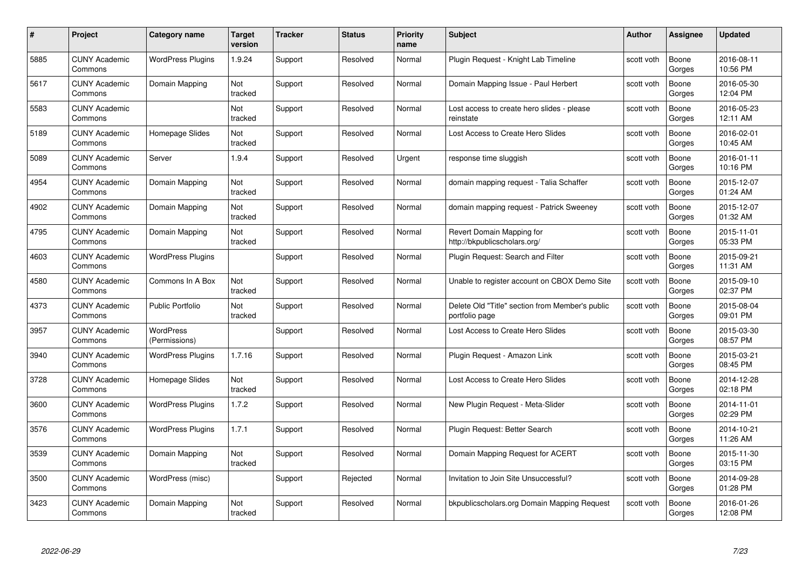| #    | Project                         | Category name                     | Target<br>version | <b>Tracker</b> | <b>Status</b> | <b>Priority</b><br>name | <b>Subject</b>                                                    | Author     | Assignee        | <b>Updated</b>         |
|------|---------------------------------|-----------------------------------|-------------------|----------------|---------------|-------------------------|-------------------------------------------------------------------|------------|-----------------|------------------------|
| 5885 | <b>CUNY Academic</b><br>Commons | <b>WordPress Plugins</b>          | 1.9.24            | Support        | Resolved      | Normal                  | Plugin Reguest - Knight Lab Timeline                              | scott voth | Boone<br>Gorges | 2016-08-11<br>10:56 PM |
| 5617 | <b>CUNY Academic</b><br>Commons | Domain Mapping                    | Not<br>tracked    | Support        | Resolved      | Normal                  | Domain Mapping Issue - Paul Herbert                               | scott voth | Boone<br>Gorges | 2016-05-30<br>12:04 PM |
| 5583 | <b>CUNY Academic</b><br>Commons |                                   | Not<br>tracked    | Support        | Resolved      | Normal                  | Lost access to create hero slides - please<br>reinstate           | scott voth | Boone<br>Gorges | 2016-05-23<br>12:11 AM |
| 5189 | <b>CUNY Academic</b><br>Commons | Homepage Slides                   | Not<br>tracked    | Support        | Resolved      | Normal                  | Lost Access to Create Hero Slides                                 | scott voth | Boone<br>Gorges | 2016-02-01<br>10:45 AM |
| 5089 | <b>CUNY Academic</b><br>Commons | Server                            | 1.9.4             | Support        | Resolved      | Urgent                  | response time sluggish                                            | scott voth | Boone<br>Gorges | 2016-01-11<br>10:16 PM |
| 4954 | <b>CUNY Academic</b><br>Commons | Domain Mapping                    | Not<br>tracked    | Support        | Resolved      | Normal                  | domain mapping request - Talia Schaffer                           | scott voth | Boone<br>Gorges | 2015-12-07<br>01:24 AM |
| 4902 | <b>CUNY Academic</b><br>Commons | Domain Mapping                    | Not<br>tracked    | Support        | Resolved      | Normal                  | domain mapping reguest - Patrick Sweeney                          | scott voth | Boone<br>Gorges | 2015-12-07<br>01:32 AM |
| 4795 | <b>CUNY Academic</b><br>Commons | Domain Mapping                    | Not<br>tracked    | Support        | Resolved      | Normal                  | Revert Domain Mapping for<br>http://bkpublicscholars.org/         | scott voth | Boone<br>Gorges | 2015-11-01<br>05:33 PM |
| 4603 | <b>CUNY Academic</b><br>Commons | <b>WordPress Plugins</b>          |                   | Support        | Resolved      | Normal                  | Plugin Request: Search and Filter                                 | scott voth | Boone<br>Gorges | 2015-09-21<br>11:31 AM |
| 4580 | <b>CUNY Academic</b><br>Commons | Commons In A Box                  | Not<br>tracked    | Support        | Resolved      | Normal                  | Unable to register account on CBOX Demo Site                      | scott voth | Boone<br>Gorges | 2015-09-10<br>02:37 PM |
| 4373 | <b>CUNY Academic</b><br>Commons | <b>Public Portfolio</b>           | Not<br>tracked    | Support        | Resolved      | Normal                  | Delete Old "Title" section from Member's public<br>portfolio page | scott voth | Boone<br>Gorges | 2015-08-04<br>09:01 PM |
| 3957 | <b>CUNY Academic</b><br>Commons | <b>WordPress</b><br>(Permissions) |                   | Support        | Resolved      | Normal                  | Lost Access to Create Hero Slides                                 | scott voth | Boone<br>Gorges | 2015-03-30<br>08:57 PM |
| 3940 | <b>CUNY Academic</b><br>Commons | <b>WordPress Plugins</b>          | 1.7.16            | Support        | Resolved      | Normal                  | Plugin Request - Amazon Link                                      | scott voth | Boone<br>Gorges | 2015-03-21<br>08:45 PM |
| 3728 | <b>CUNY Academic</b><br>Commons | Homepage Slides                   | Not<br>tracked    | Support        | Resolved      | Normal                  | Lost Access to Create Hero Slides                                 | scott voth | Boone<br>Gorges | 2014-12-28<br>02:18 PM |
| 3600 | <b>CUNY Academic</b><br>Commons | <b>WordPress Plugins</b>          | 1.7.2             | Support        | Resolved      | Normal                  | New Plugin Request - Meta-Slider                                  | scott voth | Boone<br>Gorges | 2014-11-01<br>02:29 PM |
| 3576 | <b>CUNY Academic</b><br>Commons | <b>WordPress Plugins</b>          | 1.7.1             | Support        | Resolved      | Normal                  | Plugin Reguest: Better Search                                     | scott voth | Boone<br>Gorges | 2014-10-21<br>11:26 AM |
| 3539 | <b>CUNY Academic</b><br>Commons | Domain Mapping                    | Not<br>tracked    | Support        | Resolved      | Normal                  | Domain Mapping Request for ACERT                                  | scott voth | Boone<br>Gorges | 2015-11-30<br>03:15 PM |
| 3500 | <b>CUNY Academic</b><br>Commons | WordPress (misc)                  |                   | Support        | Rejected      | Normal                  | Invitation to Join Site Unsuccessful?                             | scott voth | Boone<br>Gorges | 2014-09-28<br>01:28 PM |
| 3423 | CUNY Academic<br>Commons        | Domain Mapping                    | Not<br>tracked    | Support        | Resolved      | Normal                  | bkpublicscholars.org Domain Mapping Request                       | scott voth | Boone<br>Gorges | 2016-01-26<br>12:08 PM |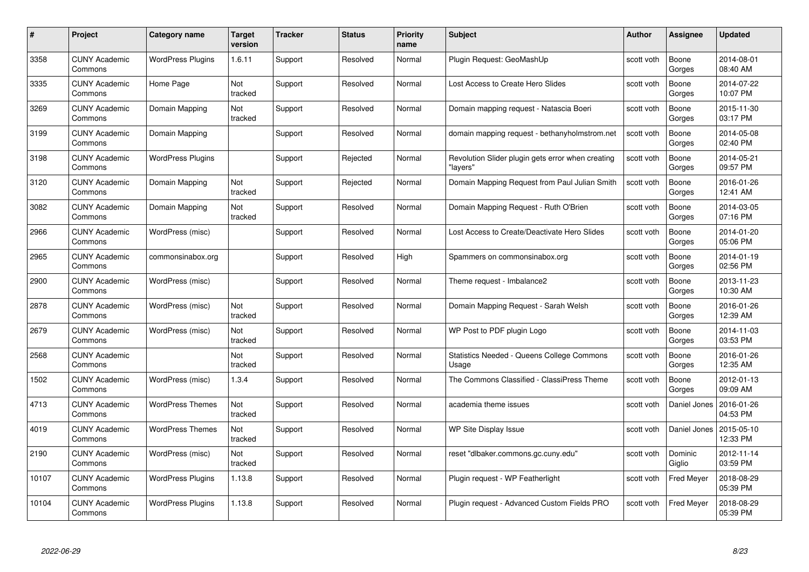| #     | Project                         | Category name            | Target<br>version | <b>Tracker</b> | <b>Status</b> | <b>Priority</b><br>name | <b>Subject</b>                                                | <b>Author</b> | <b>Assignee</b>   | <b>Updated</b>         |
|-------|---------------------------------|--------------------------|-------------------|----------------|---------------|-------------------------|---------------------------------------------------------------|---------------|-------------------|------------------------|
| 3358  | <b>CUNY Academic</b><br>Commons | <b>WordPress Plugins</b> | 1.6.11            | Support        | Resolved      | Normal                  | Plugin Request: GeoMashUp                                     | scott voth    | Boone<br>Gorges   | 2014-08-01<br>08:40 AM |
| 3335  | <b>CUNY Academic</b><br>Commons | Home Page                | Not<br>tracked    | Support        | Resolved      | Normal                  | Lost Access to Create Hero Slides                             | scott voth    | Boone<br>Gorges   | 2014-07-22<br>10:07 PM |
| 3269  | <b>CUNY Academic</b><br>Commons | Domain Mapping           | Not<br>tracked    | Support        | Resolved      | Normal                  | Domain mapping request - Natascia Boeri                       | scott voth    | Boone<br>Gorges   | 2015-11-30<br>03:17 PM |
| 3199  | <b>CUNY Academic</b><br>Commons | Domain Mapping           |                   | Support        | Resolved      | Normal                  | domain mapping request - bethanyholmstrom.net                 | scott voth    | Boone<br>Gorges   | 2014-05-08<br>02:40 PM |
| 3198  | <b>CUNY Academic</b><br>Commons | <b>WordPress Plugins</b> |                   | Support        | Rejected      | Normal                  | Revolution Slider plugin gets error when creating<br>"lavers" | scott voth    | Boone<br>Gorges   | 2014-05-21<br>09:57 PM |
| 3120  | <b>CUNY Academic</b><br>Commons | Domain Mapping           | Not<br>tracked    | Support        | Rejected      | Normal                  | Domain Mapping Request from Paul Julian Smith                 | scott voth    | Boone<br>Gorges   | 2016-01-26<br>12:41 AM |
| 3082  | <b>CUNY Academic</b><br>Commons | Domain Mapping           | Not<br>tracked    | Support        | Resolved      | Normal                  | Domain Mapping Request - Ruth O'Brien                         | scott voth    | Boone<br>Gorges   | 2014-03-05<br>07:16 PM |
| 2966  | <b>CUNY Academic</b><br>Commons | WordPress (misc)         |                   | Support        | Resolved      | Normal                  | Lost Access to Create/Deactivate Hero Slides                  | scott voth    | Boone<br>Gorges   | 2014-01-20<br>05:06 PM |
| 2965  | <b>CUNY Academic</b><br>Commons | commonsinabox.org        |                   | Support        | Resolved      | High                    | Spammers on commonsinabox.org                                 | scott voth    | Boone<br>Gorges   | 2014-01-19<br>02:56 PM |
| 2900  | <b>CUNY Academic</b><br>Commons | WordPress (misc)         |                   | Support        | Resolved      | Normal                  | Theme request - Imbalance2                                    | scott voth    | Boone<br>Gorges   | 2013-11-23<br>10:30 AM |
| 2878  | <b>CUNY Academic</b><br>Commons | WordPress (misc)         | Not<br>tracked    | Support        | Resolved      | Normal                  | Domain Mapping Request - Sarah Welsh                          | scott voth    | Boone<br>Gorges   | 2016-01-26<br>12:39 AM |
| 2679  | <b>CUNY Academic</b><br>Commons | WordPress (misc)         | Not<br>tracked    | Support        | Resolved      | Normal                  | WP Post to PDF plugin Logo                                    | scott voth    | Boone<br>Gorges   | 2014-11-03<br>03:53 PM |
| 2568  | <b>CUNY Academic</b><br>Commons |                          | Not<br>tracked    | Support        | Resolved      | Normal                  | <b>Statistics Needed - Queens College Commons</b><br>Usage    | scott voth    | Boone<br>Gorges   | 2016-01-26<br>12:35 AM |
| 1502  | <b>CUNY Academic</b><br>Commons | WordPress (misc)         | 1.3.4             | Support        | Resolved      | Normal                  | The Commons Classified - ClassiPress Theme                    | scott voth    | Boone<br>Gorges   | 2012-01-13<br>09:09 AM |
| 4713  | <b>CUNY Academic</b><br>Commons | <b>WordPress Themes</b>  | Not<br>tracked    | Support        | Resolved      | Normal                  | academia theme issues                                         | scott voth    | Daniel Jones      | 2016-01-26<br>04:53 PM |
| 4019  | <b>CUNY Academic</b><br>Commons | <b>WordPress Themes</b>  | Not<br>tracked    | Support        | Resolved      | Normal                  | WP Site Display Issue                                         | scott voth    | Daniel Jones      | 2015-05-10<br>12:33 PM |
| 2190  | <b>CUNY Academic</b><br>Commons | WordPress (misc)         | Not<br>tracked    | Support        | Resolved      | Normal                  | reset "dlbaker.commons.gc.cuny.edu"                           | scott voth    | Dominic<br>Giglio | 2012-11-14<br>03:59 PM |
| 10107 | <b>CUNY Academic</b><br>Commons | <b>WordPress Plugins</b> | 1.13.8            | Support        | Resolved      | Normal                  | Plugin request - WP Featherlight                              | scott voth    | <b>Fred Meyer</b> | 2018-08-29<br>05:39 PM |
| 10104 | CUNY Academic<br>Commons        | <b>WordPress Plugins</b> | 1.13.8            | Support        | Resolved      | Normal                  | Plugin request - Advanced Custom Fields PRO                   | scott voth    | <b>Fred Meyer</b> | 2018-08-29<br>05:39 PM |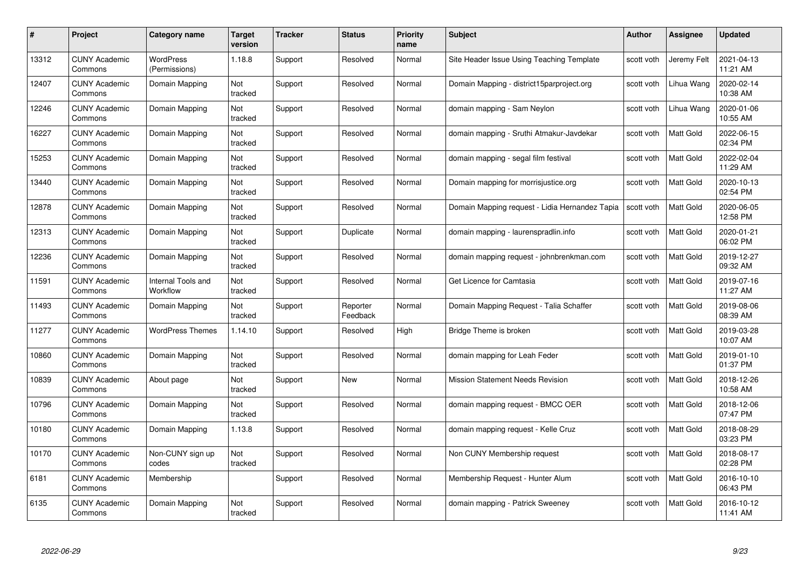| #     | Project                         | Category name                     | Target<br>version | <b>Tracker</b> | <b>Status</b>        | <b>Priority</b><br>name | <b>Subject</b>                                 | <b>Author</b> | <b>Assignee</b>  | <b>Updated</b>         |
|-------|---------------------------------|-----------------------------------|-------------------|----------------|----------------------|-------------------------|------------------------------------------------|---------------|------------------|------------------------|
| 13312 | <b>CUNY Academic</b><br>Commons | <b>WordPress</b><br>(Permissions) | 1.18.8            | Support        | Resolved             | Normal                  | Site Header Issue Using Teaching Template      | scott voth    | Jeremy Felt      | 2021-04-13<br>11:21 AM |
| 12407 | <b>CUNY Academic</b><br>Commons | Domain Mapping                    | Not<br>tracked    | Support        | Resolved             | Normal                  | Domain Mapping - district15parproject.org      | scott voth    | Lihua Wang       | 2020-02-14<br>10:38 AM |
| 12246 | <b>CUNY Academic</b><br>Commons | Domain Mapping                    | Not<br>tracked    | Support        | Resolved             | Normal                  | domain mapping - Sam Neylon                    | scott voth    | Lihua Wang       | 2020-01-06<br>10:55 AM |
| 16227 | <b>CUNY Academic</b><br>Commons | Domain Mapping                    | Not<br>tracked    | Support        | Resolved             | Normal                  | domain mapping - Sruthi Atmakur-Javdekar       | scott voth    | Matt Gold        | 2022-06-15<br>02:34 PM |
| 15253 | <b>CUNY Academic</b><br>Commons | Domain Mapping                    | Not<br>tracked    | Support        | Resolved             | Normal                  | domain mapping - segal film festival           | scott voth    | <b>Matt Gold</b> | 2022-02-04<br>11:29 AM |
| 13440 | <b>CUNY Academic</b><br>Commons | Domain Mapping                    | Not<br>tracked    | Support        | Resolved             | Normal                  | Domain mapping for morrisjustice.org           | scott voth    | <b>Matt Gold</b> | 2020-10-13<br>02:54 PM |
| 12878 | <b>CUNY Academic</b><br>Commons | Domain Mapping                    | Not<br>tracked    | Support        | Resolved             | Normal                  | Domain Mapping request - Lidia Hernandez Tapia | scott voth    | Matt Gold        | 2020-06-05<br>12:58 PM |
| 12313 | <b>CUNY Academic</b><br>Commons | Domain Mapping                    | Not<br>tracked    | Support        | Duplicate            | Normal                  | domain mapping - laurenspradlin.info           | scott voth    | Matt Gold        | 2020-01-21<br>06:02 PM |
| 12236 | <b>CUNY Academic</b><br>Commons | Domain Mapping                    | Not<br>tracked    | Support        | Resolved             | Normal                  | domain mapping request - johnbrenkman.com      | scott voth    | Matt Gold        | 2019-12-27<br>09:32 AM |
| 11591 | <b>CUNY Academic</b><br>Commons | Internal Tools and<br>Workflow    | Not<br>tracked    | Support        | Resolved             | Normal                  | Get Licence for Camtasia                       | scott voth    | Matt Gold        | 2019-07-16<br>11:27 AM |
| 11493 | <b>CUNY Academic</b><br>Commons | Domain Mapping                    | Not<br>tracked    | Support        | Reporter<br>Feedback | Normal                  | Domain Mapping Request - Talia Schaffer        | scott voth    | Matt Gold        | 2019-08-06<br>08:39 AM |
| 11277 | <b>CUNY Academic</b><br>Commons | <b>WordPress Themes</b>           | 1.14.10           | Support        | Resolved             | High                    | Bridge Theme is broken                         | scott voth    | Matt Gold        | 2019-03-28<br>10:07 AM |
| 10860 | <b>CUNY Academic</b><br>Commons | Domain Mapping                    | Not<br>tracked    | Support        | Resolved             | Normal                  | domain mapping for Leah Feder                  | scott voth    | <b>Matt Gold</b> | 2019-01-10<br>01:37 PM |
| 10839 | <b>CUNY Academic</b><br>Commons | About page                        | Not<br>tracked    | Support        | <b>New</b>           | Normal                  | <b>Mission Statement Needs Revision</b>        | scott voth    | Matt Gold        | 2018-12-26<br>10:58 AM |
| 10796 | <b>CUNY Academic</b><br>Commons | Domain Mapping                    | Not<br>tracked    | Support        | Resolved             | Normal                  | domain mapping request - BMCC OER              | scott voth    | Matt Gold        | 2018-12-06<br>07:47 PM |
| 10180 | <b>CUNY Academic</b><br>Commons | Domain Mapping                    | 1.13.8            | Support        | Resolved             | Normal                  | domain mapping request - Kelle Cruz            | scott voth    | Matt Gold        | 2018-08-29<br>03:23 PM |
| 10170 | <b>CUNY Academic</b><br>Commons | Non-CUNY sign up<br>codes         | Not<br>tracked    | Support        | Resolved             | Normal                  | Non CUNY Membership request                    | scott voth    | <b>Matt Gold</b> | 2018-08-17<br>02:28 PM |
| 6181  | <b>CUNY Academic</b><br>Commons | Membership                        |                   | Support        | Resolved             | Normal                  | Membership Request - Hunter Alum               | scott voth    | Matt Gold        | 2016-10-10<br>06:43 PM |
| 6135  | CUNY Academic<br>Commons        | Domain Mapping                    | Not<br>tracked    | Support        | Resolved             | Normal                  | domain mapping - Patrick Sweeney               | scott voth    | <b>Matt Gold</b> | 2016-10-12<br>11:41 AM |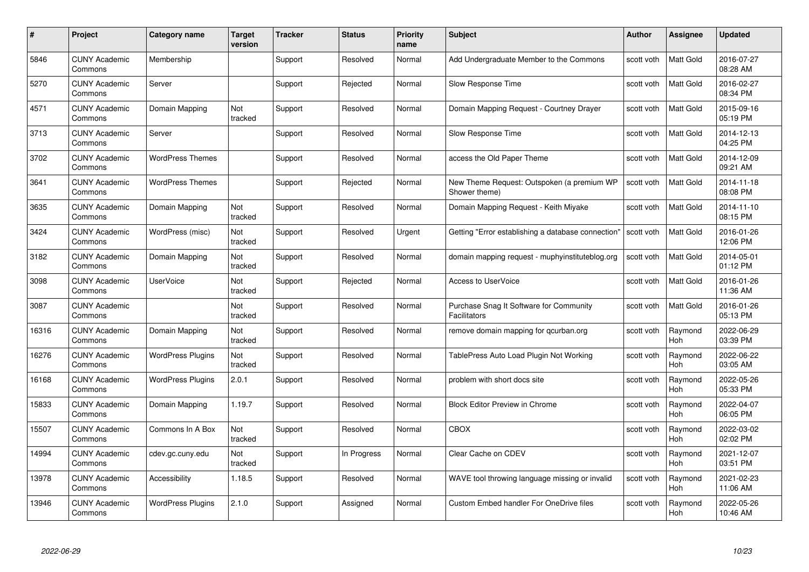| #     | Project                         | Category name            | Target<br>version | <b>Tracker</b> | <b>Status</b> | <b>Priority</b><br>name | <b>Subject</b>                                                 | <b>Author</b> | <b>Assignee</b>       | <b>Updated</b>         |
|-------|---------------------------------|--------------------------|-------------------|----------------|---------------|-------------------------|----------------------------------------------------------------|---------------|-----------------------|------------------------|
| 5846  | <b>CUNY Academic</b><br>Commons | Membership               |                   | Support        | Resolved      | Normal                  | Add Undergraduate Member to the Commons                        | scott voth    | <b>Matt Gold</b>      | 2016-07-27<br>08:28 AM |
| 5270  | <b>CUNY Academic</b><br>Commons | Server                   |                   | Support        | Rejected      | Normal                  | Slow Response Time                                             | scott voth    | Matt Gold             | 2016-02-27<br>08:34 PM |
| 4571  | <b>CUNY Academic</b><br>Commons | Domain Mapping           | Not<br>tracked    | Support        | Resolved      | Normal                  | Domain Mapping Request - Courtney Drayer                       | scott voth    | Matt Gold             | 2015-09-16<br>05:19 PM |
| 3713  | <b>CUNY Academic</b><br>Commons | Server                   |                   | Support        | Resolved      | Normal                  | Slow Response Time                                             | scott voth    | Matt Gold             | 2014-12-13<br>04:25 PM |
| 3702  | <b>CUNY Academic</b><br>Commons | <b>WordPress Themes</b>  |                   | Support        | Resolved      | Normal                  | access the Old Paper Theme                                     | scott voth    | <b>Matt Gold</b>      | 2014-12-09<br>09:21 AM |
| 3641  | <b>CUNY Academic</b><br>Commons | <b>WordPress Themes</b>  |                   | Support        | Rejected      | Normal                  | New Theme Request: Outspoken (a premium WP<br>Shower theme)    | scott voth    | Matt Gold             | 2014-11-18<br>08:08 PM |
| 3635  | <b>CUNY Academic</b><br>Commons | Domain Mapping           | Not<br>tracked    | Support        | Resolved      | Normal                  | Domain Mapping Request - Keith Miyake                          | scott voth    | Matt Gold             | 2014-11-10<br>08:15 PM |
| 3424  | <b>CUNY Academic</b><br>Commons | WordPress (misc)         | Not<br>tracked    | Support        | Resolved      | Urgent                  | Getting "Error establishing a database connection"             | scott voth    | Matt Gold             | 2016-01-26<br>12:06 PM |
| 3182  | <b>CUNY Academic</b><br>Commons | Domain Mapping           | Not<br>tracked    | Support        | Resolved      | Normal                  | domain mapping request - muphyinstituteblog.org                | scott voth    | Matt Gold             | 2014-05-01<br>01:12 PM |
| 3098  | <b>CUNY Academic</b><br>Commons | <b>UserVoice</b>         | Not<br>tracked    | Support        | Rejected      | Normal                  | <b>Access to UserVoice</b>                                     | scott voth    | Matt Gold             | 2016-01-26<br>11:36 AM |
| 3087  | <b>CUNY Academic</b><br>Commons |                          | Not<br>tracked    | Support        | Resolved      | Normal                  | Purchase Snag It Software for Community<br><b>Facilitators</b> | scott voth    | Matt Gold             | 2016-01-26<br>05:13 PM |
| 16316 | <b>CUNY Academic</b><br>Commons | Domain Mapping           | Not<br>tracked    | Support        | Resolved      | Normal                  | remove domain mapping for qcurban.org                          | scott voth    | Raymond<br>Hoh        | 2022-06-29<br>03:39 PM |
| 16276 | <b>CUNY Academic</b><br>Commons | <b>WordPress Plugins</b> | Not<br>tracked    | Support        | Resolved      | Normal                  | TablePress Auto Load Plugin Not Working                        | scott voth    | Raymond<br>Hoh        | 2022-06-22<br>03:05 AM |
| 16168 | <b>CUNY Academic</b><br>Commons | <b>WordPress Plugins</b> | 2.0.1             | Support        | Resolved      | Normal                  | problem with short docs site                                   | scott voth    | Raymond<br>Hoh        | 2022-05-26<br>05:33 PM |
| 15833 | <b>CUNY Academic</b><br>Commons | Domain Mapping           | 1.19.7            | Support        | Resolved      | Normal                  | <b>Block Editor Preview in Chrome</b>                          | scott voth    | Raymond<br>Hoh        | 2022-04-07<br>06:05 PM |
| 15507 | <b>CUNY Academic</b><br>Commons | Commons In A Box         | Not<br>tracked    | Support        | Resolved      | Normal                  | <b>CBOX</b>                                                    | scott voth    | Raymond<br><b>Hoh</b> | 2022-03-02<br>02:02 PM |
| 14994 | <b>CUNY Academic</b><br>Commons | cdev.gc.cuny.edu         | Not<br>tracked    | Support        | In Progress   | Normal                  | Clear Cache on CDEV                                            | scott voth    | Raymond<br><b>Hoh</b> | 2021-12-07<br>03:51 PM |
| 13978 | <b>CUNY Academic</b><br>Commons | Accessibility            | 1.18.5            | Support        | Resolved      | Normal                  | WAVE tool throwing language missing or invalid                 | scott voth    | Raymond<br><b>Hoh</b> | 2021-02-23<br>11:06 AM |
| 13946 | CUNY Academic<br>Commons        | <b>WordPress Plugins</b> | 2.1.0             | Support        | Assigned      | Normal                  | <b>Custom Embed handler For OneDrive files</b>                 | scott voth    | Raymond<br>Hoh        | 2022-05-26<br>10:46 AM |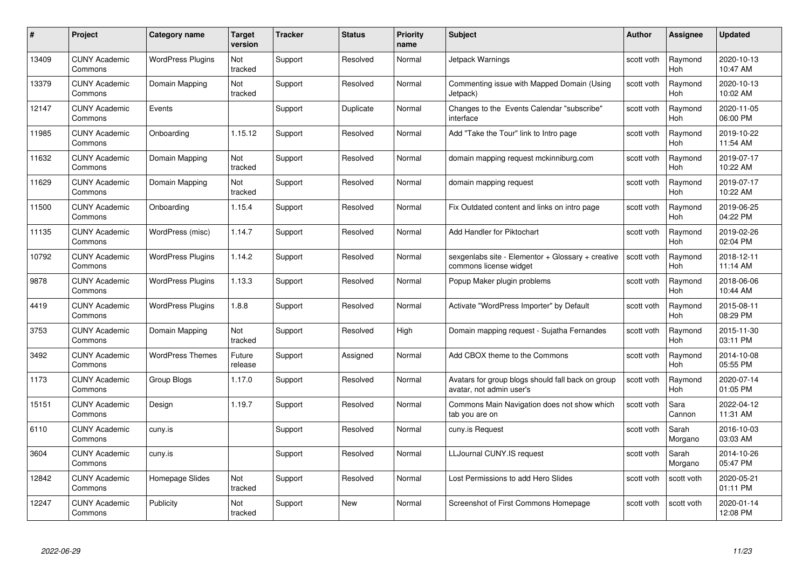| #     | Project                         | Category name            | <b>Target</b><br>version | <b>Tracker</b> | <b>Status</b> | <b>Priority</b><br>name | <b>Subject</b>                                                                | <b>Author</b> | Assignee              | <b>Updated</b>         |
|-------|---------------------------------|--------------------------|--------------------------|----------------|---------------|-------------------------|-------------------------------------------------------------------------------|---------------|-----------------------|------------------------|
| 13409 | <b>CUNY Academic</b><br>Commons | <b>WordPress Plugins</b> | Not<br>tracked           | Support        | Resolved      | Normal                  | Jetpack Warnings                                                              | scott voth    | Raymond<br>Hoh        | 2020-10-13<br>10:47 AM |
| 13379 | <b>CUNY Academic</b><br>Commons | Domain Mapping           | Not<br>tracked           | Support        | Resolved      | Normal                  | Commenting issue with Mapped Domain (Using<br>Jetpack)                        | scott voth    | Raymond<br><b>Hoh</b> | 2020-10-13<br>10:02 AM |
| 12147 | <b>CUNY Academic</b><br>Commons | Events                   |                          | Support        | Duplicate     | Normal                  | Changes to the Events Calendar "subscribe"<br>interface                       | scott voth    | Raymond<br>Hoh        | 2020-11-05<br>06:00 PM |
| 11985 | <b>CUNY Academic</b><br>Commons | Onboarding               | 1.15.12                  | Support        | Resolved      | Normal                  | Add "Take the Tour" link to Intro page                                        | scott voth    | Raymond<br>Hoh        | 2019-10-22<br>11:54 AM |
| 11632 | <b>CUNY Academic</b><br>Commons | Domain Mapping           | Not<br>tracked           | Support        | Resolved      | Normal                  | domain mapping request mckinniburg.com                                        | scott voth    | Raymond<br>Hoh        | 2019-07-17<br>10:22 AM |
| 11629 | <b>CUNY Academic</b><br>Commons | Domain Mapping           | Not<br>tracked           | Support        | Resolved      | Normal                  | domain mapping request                                                        | scott voth    | Raymond<br>Hoh        | 2019-07-17<br>10:22 AM |
| 11500 | <b>CUNY Academic</b><br>Commons | Onboarding               | 1.15.4                   | Support        | Resolved      | Normal                  | Fix Outdated content and links on intro page                                  | scott voth    | Raymond<br>Hoh        | 2019-06-25<br>04:22 PM |
| 11135 | <b>CUNY Academic</b><br>Commons | WordPress (misc)         | 1.14.7                   | Support        | Resolved      | Normal                  | Add Handler for Piktochart                                                    | scott voth    | Raymond<br>Hoh        | 2019-02-26<br>02:04 PM |
| 10792 | <b>CUNY Academic</b><br>Commons | <b>WordPress Plugins</b> | 1.14.2                   | Support        | Resolved      | Normal                  | sexgenlabs site - Elementor + Glossary + creative<br>commons license widget   | scott voth    | Raymond<br><b>Hoh</b> | 2018-12-11<br>11:14 AM |
| 9878  | <b>CUNY Academic</b><br>Commons | <b>WordPress Plugins</b> | 1.13.3                   | Support        | Resolved      | Normal                  | Popup Maker plugin problems                                                   | scott voth    | Raymond<br>Hoh        | 2018-06-06<br>10:44 AM |
| 4419  | <b>CUNY Academic</b><br>Commons | <b>WordPress Plugins</b> | 1.8.8                    | Support        | Resolved      | Normal                  | Activate "WordPress Importer" by Default                                      | scott voth    | Raymond<br>Hoh        | 2015-08-11<br>08:29 PM |
| 3753  | <b>CUNY Academic</b><br>Commons | Domain Mapping           | Not<br>tracked           | Support        | Resolved      | High                    | Domain mapping request - Sujatha Fernandes                                    | scott voth    | Raymond<br>Hoh        | 2015-11-30<br>03:11 PM |
| 3492  | <b>CUNY Academic</b><br>Commons | <b>WordPress Themes</b>  | Future<br>release        | Support        | Assigned      | Normal                  | Add CBOX theme to the Commons                                                 | scott voth    | Raymond<br>Hoh        | 2014-10-08<br>05:55 PM |
| 1173  | <b>CUNY Academic</b><br>Commons | Group Blogs              | 1.17.0                   | Support        | Resolved      | Normal                  | Avatars for group blogs should fall back on group<br>avatar, not admin user's | scott voth    | Raymond<br>Hoh        | 2020-07-14<br>01:05 PM |
| 15151 | <b>CUNY Academic</b><br>Commons | Design                   | 1.19.7                   | Support        | Resolved      | Normal                  | Commons Main Navigation does not show which<br>tab you are on                 | scott voth    | Sara<br>Cannon        | 2022-04-12<br>11:31 AM |
| 6110  | <b>CUNY Academic</b><br>Commons | cuny.is                  |                          | Support        | Resolved      | Normal                  | cuny.is Request                                                               | scott voth    | Sarah<br>Morgano      | 2016-10-03<br>03:03 AM |
| 3604  | <b>CUNY Academic</b><br>Commons | cuny.is                  |                          | Support        | Resolved      | Normal                  | LLJournal CUNY.IS request                                                     | scott voth    | Sarah<br>Morgano      | 2014-10-26<br>05:47 PM |
| 12842 | <b>CUNY Academic</b><br>Commons | Homepage Slides          | Not<br>tracked           | Support        | Resolved      | Normal                  | Lost Permissions to add Hero Slides                                           | scott voth    | scott voth            | 2020-05-21<br>01:11 PM |
| 12247 | <b>CUNY Academic</b><br>Commons | Publicity                | Not<br>tracked           | Support        | <b>New</b>    | Normal                  | Screenshot of First Commons Homepage                                          | scott voth    | scott voth            | 2020-01-14<br>12:08 PM |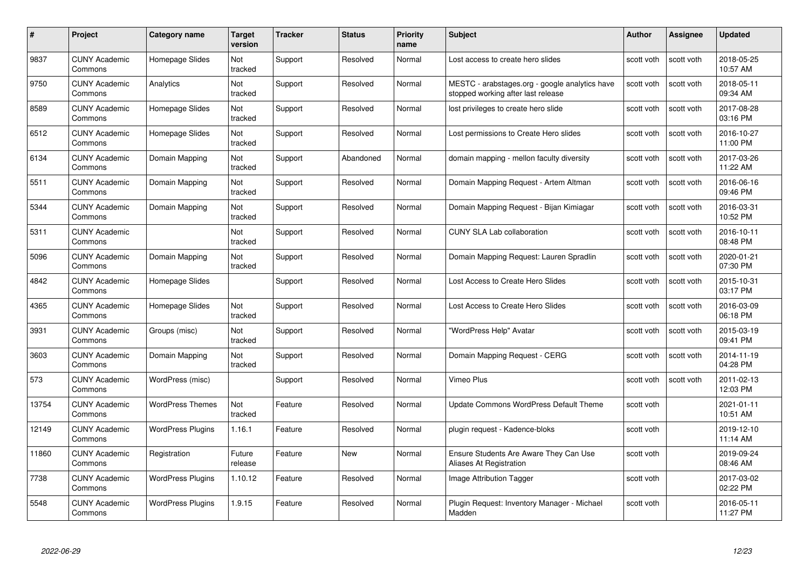| #     | Project                         | <b>Category name</b>     | Target<br>version     | <b>Tracker</b> | <b>Status</b> | <b>Priority</b><br>name | <b>Subject</b>                                                                       | <b>Author</b> | <b>Assignee</b> | <b>Updated</b>         |
|-------|---------------------------------|--------------------------|-----------------------|----------------|---------------|-------------------------|--------------------------------------------------------------------------------------|---------------|-----------------|------------------------|
| 9837  | <b>CUNY Academic</b><br>Commons | Homepage Slides          | Not<br>tracked        | Support        | Resolved      | Normal                  | Lost access to create hero slides                                                    | scott voth    | scott voth      | 2018-05-25<br>10:57 AM |
| 9750  | <b>CUNY Academic</b><br>Commons | Analytics                | Not<br>tracked        | Support        | Resolved      | Normal                  | MESTC - arabstages.org - google analytics have<br>stopped working after last release | scott voth    | scott voth      | 2018-05-11<br>09:34 AM |
| 8589  | <b>CUNY Academic</b><br>Commons | Homepage Slides          | Not<br>tracked        | Support        | Resolved      | Normal                  | lost privileges to create hero slide                                                 | scott voth    | scott voth      | 2017-08-28<br>03:16 PM |
| 6512  | <b>CUNY Academic</b><br>Commons | Homepage Slides          | Not<br>tracked        | Support        | Resolved      | Normal                  | Lost permissions to Create Hero slides                                               | scott voth    | scott voth      | 2016-10-27<br>11:00 PM |
| 6134  | <b>CUNY Academic</b><br>Commons | Domain Mapping           | <b>Not</b><br>tracked | Support        | Abandoned     | Normal                  | domain mapping - mellon faculty diversity                                            | scott voth    | scott voth      | 2017-03-26<br>11:22 AM |
| 5511  | <b>CUNY Academic</b><br>Commons | Domain Mapping           | Not<br>tracked        | Support        | Resolved      | Normal                  | Domain Mapping Request - Artem Altman                                                | scott voth    | scott voth      | 2016-06-16<br>09:46 PM |
| 5344  | <b>CUNY Academic</b><br>Commons | Domain Mapping           | Not<br>tracked        | Support        | Resolved      | Normal                  | Domain Mapping Request - Bijan Kimiagar                                              | scott voth    | scott voth      | 2016-03-31<br>10:52 PM |
| 5311  | <b>CUNY Academic</b><br>Commons |                          | Not<br>tracked        | Support        | Resolved      | Normal                  | <b>CUNY SLA Lab collaboration</b>                                                    | scott voth    | scott voth      | 2016-10-11<br>08:48 PM |
| 5096  | <b>CUNY Academic</b><br>Commons | Domain Mapping           | Not<br>tracked        | Support        | Resolved      | Normal                  | Domain Mapping Request: Lauren Spradlin                                              | scott voth    | scott voth      | 2020-01-21<br>07:30 PM |
| 4842  | <b>CUNY Academic</b><br>Commons | Homepage Slides          |                       | Support        | Resolved      | Normal                  | Lost Access to Create Hero Slides                                                    | scott voth    | scott voth      | 2015-10-31<br>03:17 PM |
| 4365  | <b>CUNY Academic</b><br>Commons | Homepage Slides          | Not<br>tracked        | Support        | Resolved      | Normal                  | Lost Access to Create Hero Slides                                                    | scott voth    | scott voth      | 2016-03-09<br>06:18 PM |
| 3931  | <b>CUNY Academic</b><br>Commons | Groups (misc)            | Not<br>tracked        | Support        | Resolved      | Normal                  | "WordPress Help" Avatar                                                              | scott voth    | scott voth      | 2015-03-19<br>09:41 PM |
| 3603  | <b>CUNY Academic</b><br>Commons | Domain Mapping           | Not<br>tracked        | Support        | Resolved      | Normal                  | Domain Mapping Request - CERG                                                        | scott voth    | scott voth      | 2014-11-19<br>04:28 PM |
| 573   | <b>CUNY Academic</b><br>Commons | WordPress (misc)         |                       | Support        | Resolved      | Normal                  | Vimeo Plus                                                                           | scott voth    | scott voth      | 2011-02-13<br>12:03 PM |
| 13754 | CUNY Academic<br>Commons        | <b>WordPress Themes</b>  | Not<br>tracked        | Feature        | Resolved      | Normal                  | Update Commons WordPress Default Theme                                               | scott voth    |                 | 2021-01-11<br>10:51 AM |
| 12149 | <b>CUNY Academic</b><br>Commons | <b>WordPress Plugins</b> | 1.16.1                | Feature        | Resolved      | Normal                  | plugin request - Kadence-bloks                                                       | scott voth    |                 | 2019-12-10<br>11:14 AM |
| 11860 | <b>CUNY Academic</b><br>Commons | Registration             | Future<br>release     | Feature        | New           | Normal                  | Ensure Students Are Aware They Can Use<br>Aliases At Registration                    | scott voth    |                 | 2019-09-24<br>08:46 AM |
| 7738  | <b>CUNY Academic</b><br>Commons | <b>WordPress Plugins</b> | 1.10.12               | Feature        | Resolved      | Normal                  | Image Attribution Tagger                                                             | scott voth    |                 | 2017-03-02<br>02:22 PM |
| 5548  | CUNY Academic<br>Commons        | <b>WordPress Plugins</b> | 1.9.15                | Feature        | Resolved      | Normal                  | Plugin Request: Inventory Manager - Michael<br>Madden                                | scott voth    |                 | 2016-05-11<br>11:27 PM |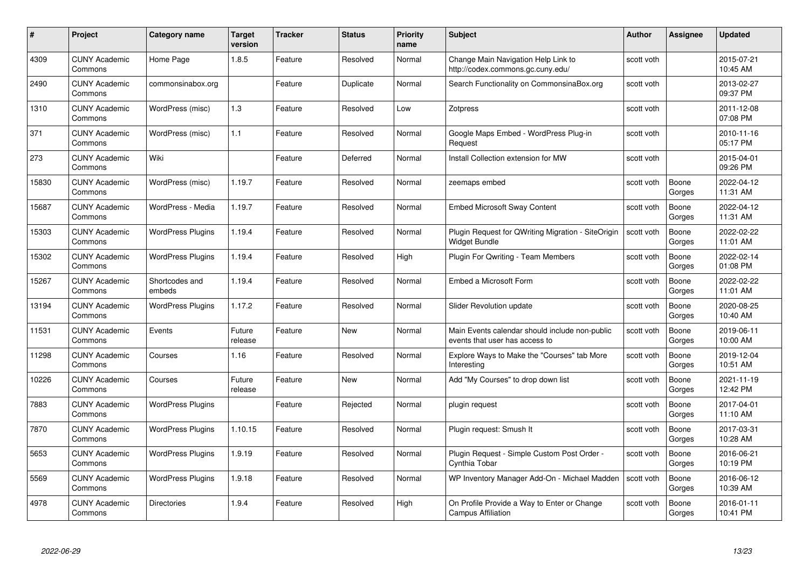| #     | Project                         | <b>Category name</b>     | Target<br>version | <b>Tracker</b> | <b>Status</b> | <b>Priority</b><br>name | <b>Subject</b>                                                                   | <b>Author</b> | <b>Assignee</b> | <b>Updated</b>         |
|-------|---------------------------------|--------------------------|-------------------|----------------|---------------|-------------------------|----------------------------------------------------------------------------------|---------------|-----------------|------------------------|
| 4309  | <b>CUNY Academic</b><br>Commons | Home Page                | 1.8.5             | Feature        | Resolved      | Normal                  | Change Main Navigation Help Link to<br>http://codex.commons.gc.cuny.edu/         | scott voth    |                 | 2015-07-21<br>10:45 AM |
| 2490  | <b>CUNY Academic</b><br>Commons | commonsinabox.org        |                   | Feature        | Duplicate     | Normal                  | Search Functionality on CommonsinaBox.org                                        | scott voth    |                 | 2013-02-27<br>09:37 PM |
| 1310  | <b>CUNY Academic</b><br>Commons | WordPress (misc)         | $1.3$             | Feature        | Resolved      | Low                     | Zotpress                                                                         | scott voth    |                 | 2011-12-08<br>07:08 PM |
| 371   | <b>CUNY Academic</b><br>Commons | WordPress (misc)         | 1.1               | Feature        | Resolved      | Normal                  | Google Maps Embed - WordPress Plug-in<br>Request                                 | scott voth    |                 | 2010-11-16<br>05:17 PM |
| 273   | CUNY Academic<br>Commons        | Wiki                     |                   | Feature        | Deferred      | Normal                  | Install Collection extension for MW                                              | scott voth    |                 | 2015-04-01<br>09:26 PM |
| 15830 | <b>CUNY Academic</b><br>Commons | WordPress (misc)         | 1.19.7            | Feature        | Resolved      | Normal                  | zeemaps embed                                                                    | scott voth    | Boone<br>Gorges | 2022-04-12<br>11:31 AM |
| 15687 | <b>CUNY Academic</b><br>Commons | WordPress - Media        | 1.19.7            | Feature        | Resolved      | Normal                  | <b>Embed Microsoft Sway Content</b>                                              | scott voth    | Boone<br>Gorges | 2022-04-12<br>11:31 AM |
| 15303 | <b>CUNY Academic</b><br>Commons | <b>WordPress Plugins</b> | 1.19.4            | Feature        | Resolved      | Normal                  | Plugin Request for QWriting Migration - SiteOrigin<br><b>Widget Bundle</b>       | scott voth    | Boone<br>Gorges | 2022-02-22<br>11:01 AM |
| 15302 | <b>CUNY Academic</b><br>Commons | <b>WordPress Plugins</b> | 1.19.4            | Feature        | Resolved      | High                    | Plugin For Qwriting - Team Members                                               | scott voth    | Boone<br>Gorges | 2022-02-14<br>01:08 PM |
| 15267 | <b>CUNY Academic</b><br>Commons | Shortcodes and<br>embeds | 1.19.4            | Feature        | Resolved      | Normal                  | Embed a Microsoft Form                                                           | scott voth    | Boone<br>Gorges | 2022-02-22<br>11:01 AM |
| 13194 | CUNY Academic<br>Commons        | <b>WordPress Plugins</b> | 1.17.2            | Feature        | Resolved      | Normal                  | <b>Slider Revolution update</b>                                                  | scott voth    | Boone<br>Gorges | 2020-08-25<br>10:40 AM |
| 11531 | <b>CUNY Academic</b><br>Commons | Events                   | Future<br>release | Feature        | New           | Normal                  | Main Events calendar should include non-public<br>events that user has access to | scott voth    | Boone<br>Gorges | 2019-06-11<br>10:00 AM |
| 11298 | <b>CUNY Academic</b><br>Commons | Courses                  | 1.16              | Feature        | Resolved      | Normal                  | Explore Ways to Make the "Courses" tab More<br>Interesting                       | scott voth    | Boone<br>Gorges | 2019-12-04<br>10:51 AM |
| 10226 | <b>CUNY Academic</b><br>Commons | Courses                  | Future<br>release | Feature        | New           | Normal                  | Add "My Courses" to drop down list                                               | scott voth    | Boone<br>Gorges | 2021-11-19<br>12:42 PM |
| 7883  | <b>CUNY Academic</b><br>Commons | <b>WordPress Plugins</b> |                   | Feature        | Rejected      | Normal                  | plugin request                                                                   | scott voth    | Boone<br>Gorges | 2017-04-01<br>11:10 AM |
| 7870  | <b>CUNY Academic</b><br>Commons | <b>WordPress Plugins</b> | 1.10.15           | Feature        | Resolved      | Normal                  | Plugin request: Smush It                                                         | scott voth    | Boone<br>Gorges | 2017-03-31<br>10:28 AM |
| 5653  | <b>CUNY Academic</b><br>Commons | <b>WordPress Plugins</b> | 1.9.19            | Feature        | Resolved      | Normal                  | Plugin Request - Simple Custom Post Order -<br>Cynthia Tobar                     | scott voth    | Boone<br>Gorges | 2016-06-21<br>10:19 PM |
| 5569  | <b>CUNY Academic</b><br>Commons | <b>WordPress Plugins</b> | 1.9.18            | Feature        | Resolved      | Normal                  | WP Inventory Manager Add-On - Michael Madden                                     | scott voth    | Boone<br>Gorges | 2016-06-12<br>10:39 AM |
| 4978  | CUNY Academic<br>Commons        | <b>Directories</b>       | 1.9.4             | Feature        | Resolved      | High                    | On Profile Provide a Way to Enter or Change<br><b>Campus Affiliation</b>         | scott voth    | Boone<br>Gorges | 2016-01-11<br>10:41 PM |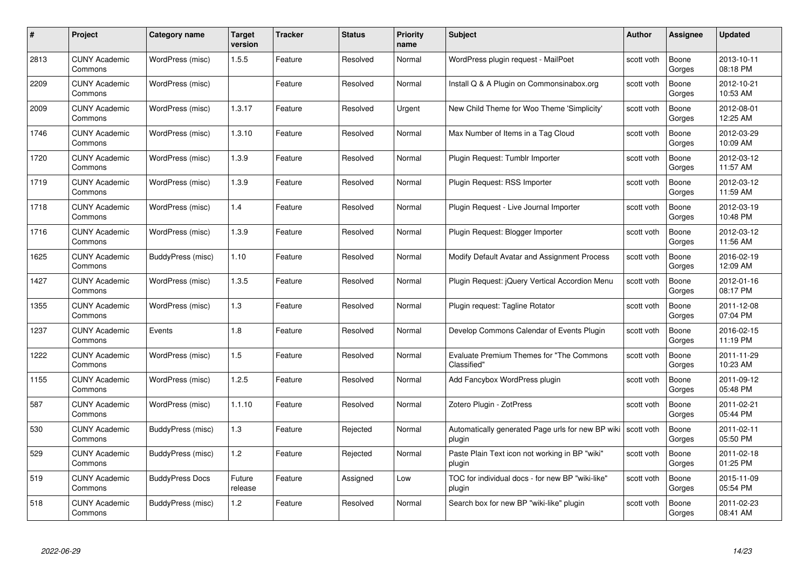| #    | Project                         | Category name          | Target<br>version | <b>Tracker</b> | <b>Status</b> | <b>Priority</b><br>name | <b>Subject</b>                                              | Author     | <b>Assignee</b> | <b>Updated</b>         |
|------|---------------------------------|------------------------|-------------------|----------------|---------------|-------------------------|-------------------------------------------------------------|------------|-----------------|------------------------|
| 2813 | <b>CUNY Academic</b><br>Commons | WordPress (misc)       | 1.5.5             | Feature        | Resolved      | Normal                  | WordPress plugin request - MailPoet                         | scott voth | Boone<br>Gorges | 2013-10-11<br>08:18 PM |
| 2209 | <b>CUNY Academic</b><br>Commons | WordPress (misc)       |                   | Feature        | Resolved      | Normal                  | Install Q & A Plugin on Commonsinabox.org                   | scott voth | Boone<br>Gorges | 2012-10-21<br>10:53 AM |
| 2009 | <b>CUNY Academic</b><br>Commons | WordPress (misc)       | 1.3.17            | Feature        | Resolved      | Urgent                  | New Child Theme for Woo Theme 'Simplicity'                  | scott voth | Boone<br>Gorges | 2012-08-01<br>12:25 AM |
| 1746 | <b>CUNY Academic</b><br>Commons | WordPress (misc)       | 1.3.10            | Feature        | Resolved      | Normal                  | Max Number of Items in a Tag Cloud                          | scott voth | Boone<br>Gorges | 2012-03-29<br>10:09 AM |
| 1720 | <b>CUNY Academic</b><br>Commons | WordPress (misc)       | 1.3.9             | Feature        | Resolved      | Normal                  | Plugin Request: Tumblr Importer                             | scott voth | Boone<br>Gorges | 2012-03-12<br>11:57 AM |
| 1719 | <b>CUNY Academic</b><br>Commons | WordPress (misc)       | 1.3.9             | Feature        | Resolved      | Normal                  | Plugin Request: RSS Importer                                | scott voth | Boone<br>Gorges | 2012-03-12<br>11:59 AM |
| 1718 | <b>CUNY Academic</b><br>Commons | WordPress (misc)       | 1.4               | Feature        | Resolved      | Normal                  | Plugin Request - Live Journal Importer                      | scott voth | Boone<br>Gorges | 2012-03-19<br>10:48 PM |
| 1716 | <b>CUNY Academic</b><br>Commons | WordPress (misc)       | 1.3.9             | Feature        | Resolved      | Normal                  | Plugin Request: Blogger Importer                            | scott voth | Boone<br>Gorges | 2012-03-12<br>11:56 AM |
| 1625 | <b>CUNY Academic</b><br>Commons | BuddyPress (misc)      | 1.10              | Feature        | Resolved      | Normal                  | Modify Default Avatar and Assignment Process                | scott voth | Boone<br>Gorges | 2016-02-19<br>12:09 AM |
| 1427 | <b>CUNY Academic</b><br>Commons | WordPress (misc)       | 1.3.5             | Feature        | Resolved      | Normal                  | Plugin Request: jQuery Vertical Accordion Menu              | scott voth | Boone<br>Gorges | 2012-01-16<br>08:17 PM |
| 1355 | <b>CUNY Academic</b><br>Commons | WordPress (misc)       | $1.3$             | Feature        | Resolved      | Normal                  | Plugin request: Tagline Rotator                             | scott voth | Boone<br>Gorges | 2011-12-08<br>07:04 PM |
| 1237 | <b>CUNY Academic</b><br>Commons | Events                 | 1.8               | Feature        | Resolved      | Normal                  | Develop Commons Calendar of Events Plugin                   | scott voth | Boone<br>Gorges | 2016-02-15<br>11:19 PM |
| 1222 | <b>CUNY Academic</b><br>Commons | WordPress (misc)       | 1.5               | Feature        | Resolved      | Normal                  | Evaluate Premium Themes for "The Commons<br>Classified"     | scott voth | Boone<br>Gorges | 2011-11-29<br>10:23 AM |
| 1155 | <b>CUNY Academic</b><br>Commons | WordPress (misc)       | 1.2.5             | Feature        | Resolved      | Normal                  | Add Fancybox WordPress plugin                               | scott voth | Boone<br>Gorges | 2011-09-12<br>05:48 PM |
| 587  | <b>CUNY Academic</b><br>Commons | WordPress (misc)       | 1.1.10            | Feature        | Resolved      | Normal                  | Zotero Plugin - ZotPress                                    | scott voth | Boone<br>Gorges | 2011-02-21<br>05:44 PM |
| 530  | <b>CUNY Academic</b><br>Commons | BuddyPress (misc)      | 1.3               | Feature        | Rejected      | Normal                  | Automatically generated Page urls for new BP wiki<br>plugin | scott voth | Boone<br>Gorges | 2011-02-11<br>05:50 PM |
| 529  | <b>CUNY Academic</b><br>Commons | BuddyPress (misc)      | 1.2               | Feature        | Rejected      | Normal                  | Paste Plain Text icon not working in BP "wiki"<br>plugin    | scott voth | Boone<br>Gorges | 2011-02-18<br>01:25 PM |
| 519  | <b>CUNY Academic</b><br>Commons | <b>BuddyPress Docs</b> | Future<br>release | Feature        | Assigned      | Low                     | TOC for individual docs - for new BP "wiki-like"<br>plugin  | scott voth | Boone<br>Gorges | 2015-11-09<br>05:54 PM |
| 518  | CUNY Academic<br>Commons        | BuddyPress (misc)      | 1.2               | Feature        | Resolved      | Normal                  | Search box for new BP "wiki-like" plugin                    | scott voth | Boone<br>Gorges | 2011-02-23<br>08:41 AM |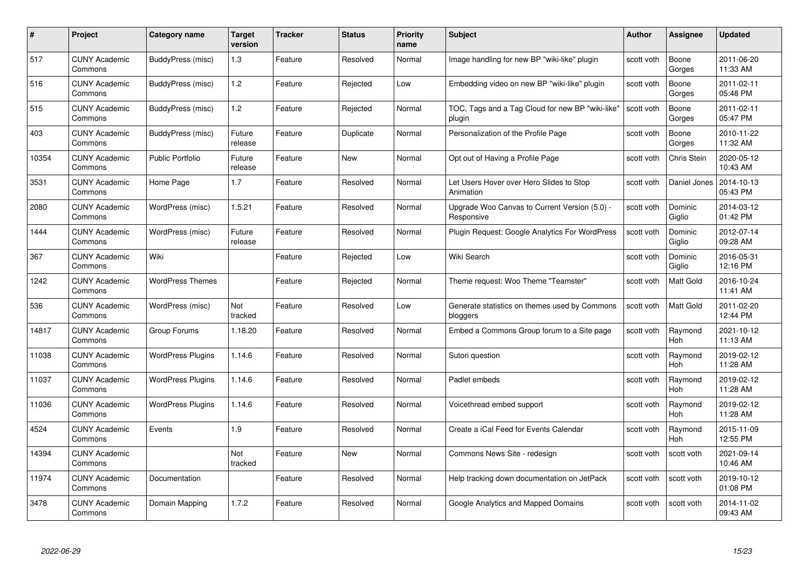| #     | Project                         | Category name            | Target<br>version | <b>Tracker</b> | <b>Status</b> | <b>Priority</b><br>name | <b>Subject</b>                                              | Author     | Assignee              | <b>Updated</b>         |
|-------|---------------------------------|--------------------------|-------------------|----------------|---------------|-------------------------|-------------------------------------------------------------|------------|-----------------------|------------------------|
| 517   | <b>CUNY Academic</b><br>Commons | BuddyPress (misc)        | 1.3               | Feature        | Resolved      | Normal                  | Image handling for new BP "wiki-like" plugin                | scott voth | Boone<br>Gorges       | 2011-06-20<br>11:33 AM |
| 516   | <b>CUNY Academic</b><br>Commons | BuddyPress (misc)        | 1.2               | Feature        | Rejected      | Low                     | Embedding video on new BP "wiki-like" plugin                | scott voth | Boone<br>Gorges       | 2011-02-11<br>05:48 PM |
| 515   | CUNY Academic<br>Commons        | BuddyPress (misc)        | 1.2               | Feature        | Rejected      | Normal                  | TOC, Tags and a Tag Cloud for new BP "wiki-like"<br>plugin  | scott voth | Boone<br>Gorges       | 2011-02-11<br>05:47 PM |
| 403   | <b>CUNY Academic</b><br>Commons | BuddyPress (misc)        | Future<br>release | Feature        | Duplicate     | Normal                  | Personalization of the Profile Page                         | scott voth | Boone<br>Gorges       | 2010-11-22<br>11:32 AM |
| 10354 | <b>CUNY Academic</b><br>Commons | <b>Public Portfolio</b>  | Future<br>release | Feature        | New           | Normal                  | Opt out of Having a Profile Page                            | scott voth | Chris Stein           | 2020-05-12<br>10:43 AM |
| 3531  | <b>CUNY Academic</b><br>Commons | Home Page                | 1.7               | Feature        | Resolved      | Normal                  | Let Users Hover over Hero Slides to Stop<br>Animation       | scott voth | Daniel Jones          | 2014-10-13<br>05:43 PM |
| 2080  | <b>CUNY Academic</b><br>Commons | WordPress (misc)         | 1.5.21            | Feature        | Resolved      | Normal                  | Upgrade Woo Canvas to Current Version (5.0) -<br>Responsive | scott voth | Dominic<br>Giglio     | 2014-03-12<br>01:42 PM |
| 1444  | <b>CUNY Academic</b><br>Commons | WordPress (misc)         | Future<br>release | Feature        | Resolved      | Normal                  | Plugin Request: Google Analytics For WordPress              | scott voth | Dominic<br>Giglio     | 2012-07-14<br>09:28 AM |
| 367   | <b>CUNY Academic</b><br>Commons | Wiki                     |                   | Feature        | Rejected      | Low                     | Wiki Search                                                 | scott voth | Dominic<br>Giglio     | 2016-05-31<br>12:16 PM |
| 1242  | <b>CUNY Academic</b><br>Commons | <b>WordPress Themes</b>  |                   | Feature        | Rejected      | Normal                  | Theme request: Woo Theme "Teamster"                         | scott voth | Matt Gold             | 2016-10-24<br>11:41 AM |
| 536   | <b>CUNY Academic</b><br>Commons | WordPress (misc)         | Not<br>tracked    | Feature        | Resolved      | Low                     | Generate statistics on themes used by Commons<br>bloggers   | scott voth | Matt Gold             | 2011-02-20<br>12:44 PM |
| 14817 | <b>CUNY Academic</b><br>Commons | Group Forums             | 1.18.20           | Feature        | Resolved      | Normal                  | Embed a Commons Group forum to a Site page                  | scott voth | Raymond<br><b>Hoh</b> | 2021-10-12<br>11:13 AM |
| 11038 | <b>CUNY Academic</b><br>Commons | <b>WordPress Plugins</b> | 1.14.6            | Feature        | Resolved      | Normal                  | Sutori question                                             | scott voth | Raymond<br>Hoh        | 2019-02-12<br>11:28 AM |
| 11037 | <b>CUNY Academic</b><br>Commons | <b>WordPress Plugins</b> | 1.14.6            | Feature        | Resolved      | Normal                  | Padlet embeds                                               | scott voth | Raymond<br><b>Hoh</b> | 2019-02-12<br>11:28 AM |
| 11036 | <b>CUNY Academic</b><br>Commons | <b>WordPress Plugins</b> | 1.14.6            | Feature        | Resolved      | Normal                  | Voicethread embed support                                   | scott voth | Raymond<br><b>Hoh</b> | 2019-02-12<br>11:28 AM |
| 4524  | <b>CUNY Academic</b><br>Commons | Events                   | 1.9               | Feature        | Resolved      | Normal                  | Create a iCal Feed for Events Calendar                      | scott voth | Raymond<br><b>Hoh</b> | 2015-11-09<br>12:55 PM |
| 14394 | <b>CUNY Academic</b><br>Commons |                          | Not<br>tracked    | Feature        | New           | Normal                  | Commons News Site - redesign                                | scott voth | scott voth            | 2021-09-14<br>10:46 AM |
| 11974 | <b>CUNY Academic</b><br>Commons | Documentation            |                   | Feature        | Resolved      | Normal                  | Help tracking down documentation on JetPack                 | scott voth | scott voth            | 2019-10-12<br>01:08 PM |
| 3478  | CUNY Academic<br>Commons        | Domain Mapping           | 1.7.2             | Feature        | Resolved      | Normal                  | Google Analytics and Mapped Domains                         | scott voth | scott voth            | 2014-11-02<br>09:43 AM |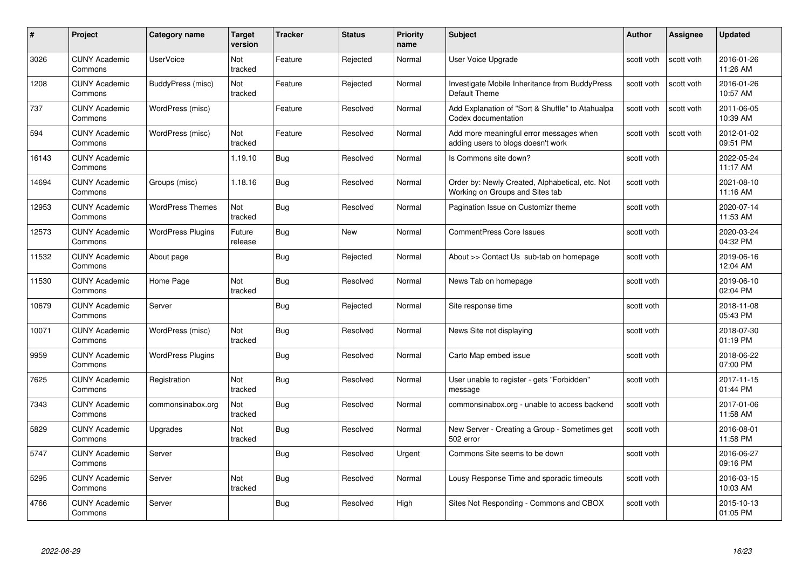| #     | Project                         | <b>Category name</b>     | Target<br>version | <b>Tracker</b> | <b>Status</b> | <b>Priority</b><br>name | <b>Subject</b>                                                                     | <b>Author</b> | <b>Assignee</b> | <b>Updated</b>         |
|-------|---------------------------------|--------------------------|-------------------|----------------|---------------|-------------------------|------------------------------------------------------------------------------------|---------------|-----------------|------------------------|
| 3026  | <b>CUNY Academic</b><br>Commons | <b>UserVoice</b>         | Not<br>tracked    | Feature        | Rejected      | Normal                  | User Voice Upgrade                                                                 | scott voth    | scott voth      | 2016-01-26<br>11:26 AM |
| 1208  | <b>CUNY Academic</b><br>Commons | BuddyPress (misc)        | Not<br>tracked    | Feature        | Rejected      | Normal                  | Investigate Mobile Inheritance from BuddyPress<br>Default Theme                    | scott voth    | scott voth      | 2016-01-26<br>10:57 AM |
| 737   | <b>CUNY Academic</b><br>Commons | WordPress (misc)         |                   | Feature        | Resolved      | Normal                  | Add Explanation of "Sort & Shuffle" to Atahualpa<br>Codex documentation            | scott voth    | scott voth      | 2011-06-05<br>10:39 AM |
| 594   | <b>CUNY Academic</b><br>Commons | WordPress (misc)         | Not<br>tracked    | Feature        | Resolved      | Normal                  | Add more meaningful error messages when<br>adding users to blogs doesn't work      | scott voth    | scott voth      | 2012-01-02<br>09:51 PM |
| 16143 | <b>CUNY Academic</b><br>Commons |                          | 1.19.10           | Bug            | Resolved      | Normal                  | Is Commons site down?                                                              | scott voth    |                 | 2022-05-24<br>11:17 AM |
| 14694 | <b>CUNY Academic</b><br>Commons | Groups (misc)            | 1.18.16           | Bug            | Resolved      | Normal                  | Order by: Newly Created, Alphabetical, etc. Not<br>Working on Groups and Sites tab | scott voth    |                 | 2021-08-10<br>11:16 AM |
| 12953 | <b>CUNY Academic</b><br>Commons | <b>WordPress Themes</b>  | Not<br>tracked    | Bug            | Resolved      | Normal                  | Pagination Issue on Customizr theme                                                | scott voth    |                 | 2020-07-14<br>11:53 AM |
| 12573 | <b>CUNY Academic</b><br>Commons | <b>WordPress Plugins</b> | Future<br>release | Bug            | New           | Normal                  | <b>CommentPress Core Issues</b>                                                    | scott voth    |                 | 2020-03-24<br>04:32 PM |
| 11532 | <b>CUNY Academic</b><br>Commons | About page               |                   | Bug            | Rejected      | Normal                  | About >> Contact Us sub-tab on homepage                                            | scott voth    |                 | 2019-06-16<br>12:04 AM |
| 11530 | <b>CUNY Academic</b><br>Commons | Home Page                | Not<br>tracked    | <b>Bug</b>     | Resolved      | Normal                  | News Tab on homepage                                                               | scott voth    |                 | 2019-06-10<br>02:04 PM |
| 10679 | CUNY Academic<br>Commons        | Server                   |                   | Bug            | Rejected      | Normal                  | Site response time                                                                 | scott voth    |                 | 2018-11-08<br>05:43 PM |
| 10071 | <b>CUNY Academic</b><br>Commons | WordPress (misc)         | Not<br>tracked    | <b>Bug</b>     | Resolved      | Normal                  | News Site not displaying                                                           | scott voth    |                 | 2018-07-30<br>01:19 PM |
| 9959  | <b>CUNY Academic</b><br>Commons | <b>WordPress Plugins</b> |                   | Bug            | Resolved      | Normal                  | Carto Map embed issue                                                              | scott voth    |                 | 2018-06-22<br>07:00 PM |
| 7625  | <b>CUNY Academic</b><br>Commons | Registration             | Not<br>tracked    | <b>Bug</b>     | Resolved      | Normal                  | User unable to register - gets "Forbidden"<br>message                              | scott voth    |                 | 2017-11-15<br>01:44 PM |
| 7343  | <b>CUNY Academic</b><br>Commons | commonsinabox.org        | Not<br>tracked    | Bug            | Resolved      | Normal                  | commonsinabox.org - unable to access backend                                       | scott voth    |                 | 2017-01-06<br>11:58 AM |
| 5829  | <b>CUNY Academic</b><br>Commons | Upgrades                 | Not<br>tracked    | Bug            | Resolved      | Normal                  | New Server - Creating a Group - Sometimes get<br>502 error                         | scott voth    |                 | 2016-08-01<br>11:58 PM |
| 5747  | <b>CUNY Academic</b><br>Commons | Server                   |                   | <b>Bug</b>     | Resolved      | Urgent                  | Commons Site seems to be down                                                      | scott voth    |                 | 2016-06-27<br>09:16 PM |
| 5295  | <b>CUNY Academic</b><br>Commons | Server                   | Not<br>tracked    | <b>Bug</b>     | Resolved      | Normal                  | Lousy Response Time and sporadic timeouts                                          | scott voth    |                 | 2016-03-15<br>10:03 AM |
| 4766  | <b>CUNY Academic</b><br>Commons | Server                   |                   | Bug            | Resolved      | High                    | Sites Not Responding - Commons and CBOX                                            | scott voth    |                 | 2015-10-13<br>01:05 PM |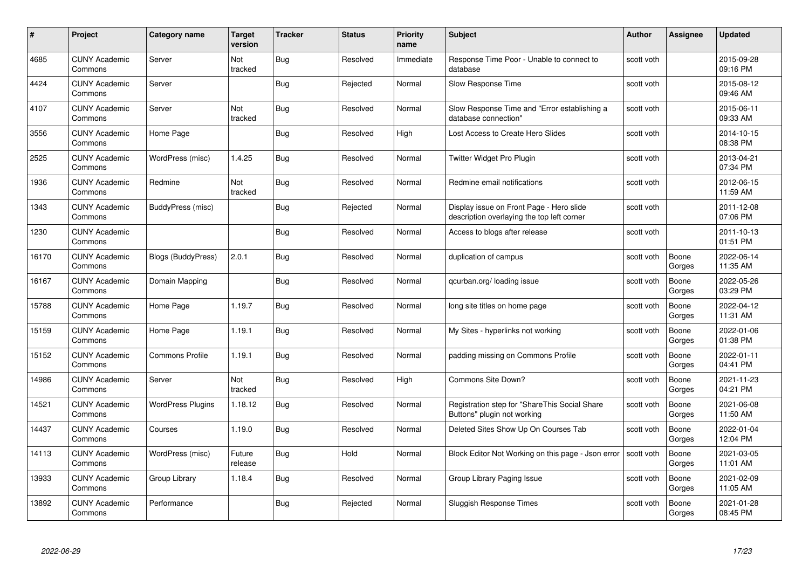| #     | Project                         | <b>Category name</b>      | <b>Target</b><br>version | <b>Tracker</b> | <b>Status</b> | Priority<br>name | <b>Subject</b>                                                                         | <b>Author</b> | <b>Assignee</b> | <b>Updated</b>         |
|-------|---------------------------------|---------------------------|--------------------------|----------------|---------------|------------------|----------------------------------------------------------------------------------------|---------------|-----------------|------------------------|
| 4685  | <b>CUNY Academic</b><br>Commons | Server                    | Not<br>tracked           | Bug            | Resolved      | Immediate        | Response Time Poor - Unable to connect to<br>database                                  | scott voth    |                 | 2015-09-28<br>09:16 PM |
| 4424  | <b>CUNY Academic</b><br>Commons | Server                    |                          | Bug            | Rejected      | Normal           | Slow Response Time                                                                     | scott voth    |                 | 2015-08-12<br>09:46 AM |
| 4107  | <b>CUNY Academic</b><br>Commons | Server                    | Not<br>tracked           | <b>Bug</b>     | Resolved      | Normal           | Slow Response Time and "Error establishing a<br>database connection"                   | scott voth    |                 | 2015-06-11<br>09:33 AM |
| 3556  | <b>CUNY Academic</b><br>Commons | Home Page                 |                          | Bug            | Resolved      | High             | Lost Access to Create Hero Slides                                                      | scott voth    |                 | 2014-10-15<br>08:38 PM |
| 2525  | <b>CUNY Academic</b><br>Commons | WordPress (misc)          | 1.4.25                   | <b>Bug</b>     | Resolved      | Normal           | Twitter Widget Pro Plugin                                                              | scott voth    |                 | 2013-04-21<br>07:34 PM |
| 1936  | <b>CUNY Academic</b><br>Commons | Redmine                   | Not<br>tracked           | <b>Bug</b>     | Resolved      | Normal           | Redmine email notifications                                                            | scott voth    |                 | 2012-06-15<br>11:59 AM |
| 1343  | <b>CUNY Academic</b><br>Commons | BuddyPress (misc)         |                          | <b>Bug</b>     | Rejected      | Normal           | Display issue on Front Page - Hero slide<br>description overlaying the top left corner | scott voth    |                 | 2011-12-08<br>07:06 PM |
| 1230  | <b>CUNY Academic</b><br>Commons |                           |                          | <b>Bug</b>     | Resolved      | Normal           | Access to blogs after release                                                          | scott voth    |                 | 2011-10-13<br>01:51 PM |
| 16170 | <b>CUNY Academic</b><br>Commons | <b>Blogs (BuddyPress)</b> | 2.0.1                    | <b>Bug</b>     | Resolved      | Normal           | duplication of campus                                                                  | scott voth    | Boone<br>Gorges | 2022-06-14<br>11:35 AM |
| 16167 | <b>CUNY Academic</b><br>Commons | Domain Mapping            |                          | <b>Bug</b>     | Resolved      | Normal           | gcurban.org/loading issue                                                              | scott voth    | Boone<br>Gorges | 2022-05-26<br>03:29 PM |
| 15788 | <b>CUNY Academic</b><br>Commons | Home Page                 | 1.19.7                   | <b>Bug</b>     | Resolved      | Normal           | long site titles on home page                                                          | scott voth    | Boone<br>Gorges | 2022-04-12<br>11:31 AM |
| 15159 | <b>CUNY Academic</b><br>Commons | Home Page                 | 1.19.1                   | Bug            | Resolved      | Normal           | My Sites - hyperlinks not working                                                      | scott voth    | Boone<br>Gorges | 2022-01-06<br>01:38 PM |
| 15152 | <b>CUNY Academic</b><br>Commons | <b>Commons Profile</b>    | 1.19.1                   | <b>Bug</b>     | Resolved      | Normal           | padding missing on Commons Profile                                                     | scott voth    | Boone<br>Gorges | 2022-01-11<br>04:41 PM |
| 14986 | <b>CUNY Academic</b><br>Commons | Server                    | Not<br>tracked           | <b>Bug</b>     | Resolved      | High             | Commons Site Down?                                                                     | scott voth    | Boone<br>Gorges | 2021-11-23<br>04:21 PM |
| 14521 | <b>CUNY Academic</b><br>Commons | WordPress Plugins         | 1.18.12                  | Bug            | Resolved      | Normal           | Registration step for "ShareThis Social Share<br>Buttons" plugin not working           | scott voth    | Boone<br>Gorges | 2021-06-08<br>11:50 AM |
| 14437 | <b>CUNY Academic</b><br>Commons | Courses                   | 1.19.0                   | <b>Bug</b>     | Resolved      | Normal           | Deleted Sites Show Up On Courses Tab                                                   | scott voth    | Boone<br>Gorges | 2022-01-04<br>12:04 PM |
| 14113 | <b>CUNY Academic</b><br>Commons | WordPress (misc)          | Future<br>release        | <b>Bug</b>     | Hold          | Normal           | Block Editor Not Working on this page - Json error Scott voth                          |               | Boone<br>Gorges | 2021-03-05<br>11:01 AM |
| 13933 | <b>CUNY Academic</b><br>Commons | Group Library             | 1.18.4                   | Bug            | Resolved      | Normal           | Group Library Paging Issue                                                             | scott voth    | Boone<br>Gorges | 2021-02-09<br>11:05 AM |
| 13892 | <b>CUNY Academic</b><br>Commons | Performance               |                          | <b>Bug</b>     | Rejected      | Normal           | Sluggish Response Times                                                                | scott voth    | Boone<br>Gorges | 2021-01-28<br>08:45 PM |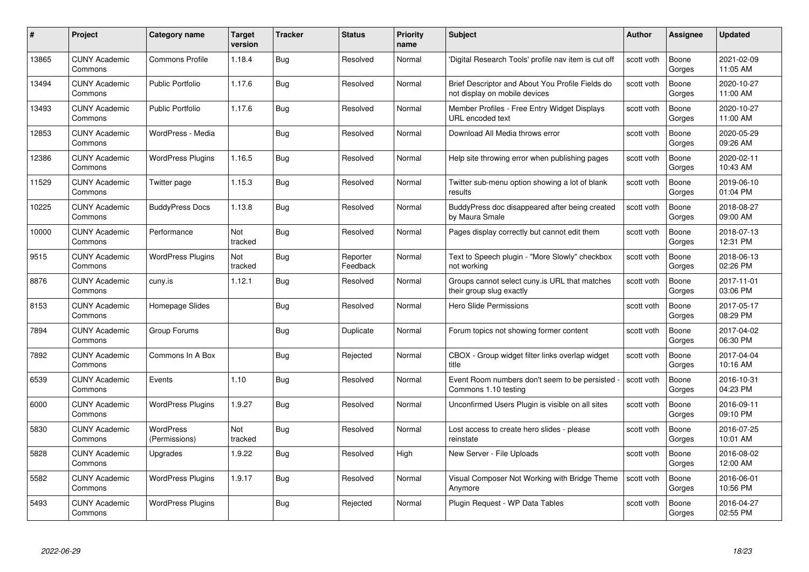|       | Project                         | <b>Category name</b>              | Target<br>version | <b>Tracker</b> | <b>Status</b>        | <b>Priority</b><br>name | <b>Subject</b>                                                                    | <b>Author</b> | <b>Assignee</b> | <b>Updated</b>         |
|-------|---------------------------------|-----------------------------------|-------------------|----------------|----------------------|-------------------------|-----------------------------------------------------------------------------------|---------------|-----------------|------------------------|
| 13865 | <b>CUNY Academic</b><br>Commons | <b>Commons Profile</b>            | 1.18.4            | <b>Bug</b>     | Resolved             | Normal                  | 'Digital Research Tools' profile nav item is cut off                              | scott voth    | Boone<br>Gorges | 2021-02-09<br>11:05 AM |
| 13494 | <b>CUNY Academic</b><br>Commons | <b>Public Portfolio</b>           | 1.17.6            | Bug            | Resolved             | Normal                  | Brief Descriptor and About You Profile Fields do<br>not display on mobile devices | scott voth    | Boone<br>Gorges | 2020-10-27<br>11:00 AM |
| 13493 | <b>CUNY Academic</b><br>Commons | <b>Public Portfolio</b>           | 1.17.6            | Bug            | Resolved             | Normal                  | Member Profiles - Free Entry Widget Displays<br>URL encoded text                  | scott voth    | Boone<br>Gorges | 2020-10-27<br>11:00 AM |
| 12853 | CUNY Academic<br>Commons        | WordPress - Media                 |                   | Bug            | Resolved             | Normal                  | Download All Media throws error                                                   | scott voth    | Boone<br>Gorges | 2020-05-29<br>09:26 AM |
| 12386 | <b>CUNY Academic</b><br>Commons | <b>WordPress Plugins</b>          | 1.16.5            | <b>Bug</b>     | Resolved             | Normal                  | Help site throwing error when publishing pages                                    | scott voth    | Boone<br>Gorges | 2020-02-11<br>10:43 AM |
| 11529 | <b>CUNY Academic</b><br>Commons | Twitter page                      | 1.15.3            | <b>Bug</b>     | Resolved             | Normal                  | Twitter sub-menu option showing a lot of blank<br>results                         | scott voth    | Boone<br>Gorges | 2019-06-10<br>01:04 PM |
| 10225 | <b>CUNY Academic</b><br>Commons | <b>BuddyPress Docs</b>            | 1.13.8            | Bug            | Resolved             | Normal                  | BuddyPress doc disappeared after being created<br>by Maura Smale                  | scott voth    | Boone<br>Gorges | 2018-08-27<br>09:00 AM |
| 10000 | <b>CUNY Academic</b><br>Commons | Performance                       | Not<br>tracked    | <b>Bug</b>     | Resolved             | Normal                  | Pages display correctly but cannot edit them                                      | scott voth    | Boone<br>Gorges | 2018-07-13<br>12:31 PM |
| 9515  | <b>CUNY Academic</b><br>Commons | <b>WordPress Plugins</b>          | Not<br>tracked    | <b>Bug</b>     | Reporter<br>Feedback | Normal                  | Text to Speech plugin - "More Slowly" checkbox<br>not working                     | scott voth    | Boone<br>Gorges | 2018-06-13<br>02:26 PM |
| 8876  | <b>CUNY Academic</b><br>Commons | cuny.is                           | 1.12.1            | Bug            | Resolved             | Normal                  | Groups cannot select cuny.is URL that matches<br>their group slug exactly         | scott voth    | Boone<br>Gorges | 2017-11-01<br>03:06 PM |
| 8153  | <b>CUNY Academic</b><br>Commons | Homepage Slides                   |                   | Bug            | Resolved             | Normal                  | <b>Hero Slide Permissions</b>                                                     | scott voth    | Boone<br>Gorges | 2017-05-17<br>08:29 PM |
| 7894  | <b>CUNY Academic</b><br>Commons | Group Forums                      |                   | Bug            | Duplicate            | Normal                  | Forum topics not showing former content                                           | scott voth    | Boone<br>Gorges | 2017-04-02<br>06:30 PM |
| 7892  | <b>CUNY Academic</b><br>Commons | Commons In A Box                  |                   | Bug            | Rejected             | Normal                  | CBOX - Group widget filter links overlap widget<br>title                          | scott voth    | Boone<br>Gorges | 2017-04-04<br>10:16 AM |
| 6539  | <b>CUNY Academic</b><br>Commons | Events                            | 1.10              | <b>Bug</b>     | Resolved             | Normal                  | Event Room numbers don't seem to be persisted<br>Commons 1.10 testing             | scott voth    | Boone<br>Gorges | 2016-10-31<br>04:23 PM |
| 6000  | CUNY Academic<br>Commons        | <b>WordPress Plugins</b>          | 1.9.27            | Bug            | Resolved             | Normal                  | Unconfirmed Users Plugin is visible on all sites                                  | scott voth    | Boone<br>Gorges | 2016-09-11<br>09:10 PM |
| 5830  | <b>CUNY Academic</b><br>Commons | <b>WordPress</b><br>(Permissions) | Not<br>tracked    | <b>Bug</b>     | Resolved             | Normal                  | Lost access to create hero slides - please<br>reinstate                           | scott voth    | Boone<br>Gorges | 2016-07-25<br>10:01 AM |
| 5828  | <b>CUNY Academic</b><br>Commons | Upgrades                          | 1.9.22            | <b>Bug</b>     | Resolved             | High                    | New Server - File Uploads                                                         | scott voth    | Boone<br>Gorges | 2016-08-02<br>12:00 AM |
| 5582  | <b>CUNY Academic</b><br>Commons | <b>WordPress Plugins</b>          | 1.9.17            | Bug            | Resolved             | Normal                  | Visual Composer Not Working with Bridge Theme<br>Anymore                          | scott voth    | Boone<br>Gorges | 2016-06-01<br>10:56 PM |
| 5493  | CUNY Academic<br>Commons        | <b>WordPress Plugins</b>          |                   | Bug            | Rejected             | Normal                  | Plugin Reguest - WP Data Tables                                                   | scott voth    | Boone<br>Gorges | 2016-04-27<br>02:55 PM |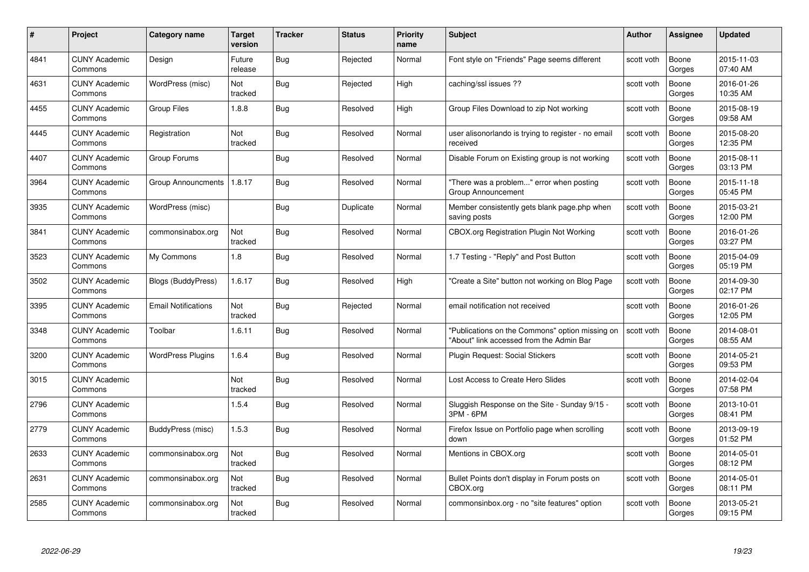| #    | Project                         | <b>Category name</b>       | Target<br>version | <b>Tracker</b> | <b>Status</b> | <b>Priority</b><br>name | <b>Subject</b>                                                                              | <b>Author</b> | <b>Assignee</b> | <b>Updated</b>         |
|------|---------------------------------|----------------------------|-------------------|----------------|---------------|-------------------------|---------------------------------------------------------------------------------------------|---------------|-----------------|------------------------|
| 4841 | <b>CUNY Academic</b><br>Commons | Design                     | Future<br>release | Bug            | Rejected      | Normal                  | Font style on "Friends" Page seems different                                                | scott voth    | Boone<br>Gorges | 2015-11-03<br>07:40 AM |
| 4631 | <b>CUNY Academic</b><br>Commons | WordPress (misc)           | Not<br>tracked    | <b>Bug</b>     | Rejected      | High                    | caching/ssl issues ??                                                                       | scott voth    | Boone<br>Gorges | 2016-01-26<br>10:35 AM |
| 4455 | <b>CUNY Academic</b><br>Commons | <b>Group Files</b>         | 1.8.8             | Bug            | Resolved      | High                    | Group Files Download to zip Not working                                                     | scott voth    | Boone<br>Gorges | 2015-08-19<br>09:58 AM |
| 4445 | <b>CUNY Academic</b><br>Commons | Registration               | Not<br>tracked    | Bug            | Resolved      | Normal                  | user alisonorlando is trying to register - no email<br>received                             | scott voth    | Boone<br>Gorges | 2015-08-20<br>12:35 PM |
| 4407 | CUNY Academic<br>Commons        | Group Forums               |                   | Bug            | Resolved      | Normal                  | Disable Forum on Existing group is not working                                              | scott voth    | Boone<br>Gorges | 2015-08-11<br>03:13 PM |
| 3964 | <b>CUNY Academic</b><br>Commons | <b>Group Announcments</b>  | 1.8.17            | Bug            | Resolved      | Normal                  | "There was a problem" error when posting<br>Group Announcement                              | scott voth    | Boone<br>Gorges | 2015-11-18<br>05:45 PM |
| 3935 | <b>CUNY Academic</b><br>Commons | WordPress (misc)           |                   | Bug            | Duplicate     | Normal                  | Member consistently gets blank page.php when<br>saving posts                                | scott voth    | Boone<br>Gorges | 2015-03-21<br>12:00 PM |
| 3841 | <b>CUNY Academic</b><br>Commons | commonsinabox.org          | Not<br>tracked    | Bug            | Resolved      | Normal                  | CBOX.org Registration Plugin Not Working                                                    | scott voth    | Boone<br>Gorges | 2016-01-26<br>03:27 PM |
| 3523 | <b>CUNY Academic</b><br>Commons | My Commons                 | 1.8               | Bug            | Resolved      | Normal                  | 1.7 Testing - "Reply" and Post Button                                                       | scott voth    | Boone<br>Gorges | 2015-04-09<br>05:19 PM |
| 3502 | <b>CUNY Academic</b><br>Commons | Blogs (BuddyPress)         | 1.6.17            | Bug            | Resolved      | High                    | "Create a Site" button not working on Blog Page                                             | scott voth    | Boone<br>Gorges | 2014-09-30<br>02:17 PM |
| 3395 | CUNY Academic<br>Commons        | <b>Email Notifications</b> | Not<br>tracked    | Bug            | Rejected      | Normal                  | email notification not received                                                             | scott voth    | Boone<br>Gorges | 2016-01-26<br>12:05 PM |
| 3348 | <b>CUNY Academic</b><br>Commons | Toolbar                    | 1.6.11            | <b>Bug</b>     | Resolved      | Normal                  | "Publications on the Commons" option missing on<br>"About" link accessed from the Admin Bar | scott voth    | Boone<br>Gorges | 2014-08-01<br>08:55 AM |
| 3200 | <b>CUNY Academic</b><br>Commons | <b>WordPress Plugins</b>   | 1.6.4             | Bug            | Resolved      | Normal                  | Plugin Request: Social Stickers                                                             | scott voth    | Boone<br>Gorges | 2014-05-21<br>09:53 PM |
| 3015 | <b>CUNY Academic</b><br>Commons |                            | Not<br>tracked    | <b>Bug</b>     | Resolved      | Normal                  | Lost Access to Create Hero Slides                                                           | scott voth    | Boone<br>Gorges | 2014-02-04<br>07:58 PM |
| 2796 | <b>CUNY Academic</b><br>Commons |                            | 1.5.4             | Bug            | Resolved      | Normal                  | Sluggish Response on the Site - Sunday 9/15 -<br>3PM - 6PM                                  | scott voth    | Boone<br>Gorges | 2013-10-01<br>08:41 PM |
| 2779 | <b>CUNY Academic</b><br>Commons | BuddyPress (misc)          | 1.5.3             | Bug            | Resolved      | Normal                  | Firefox Issue on Portfolio page when scrolling<br>down                                      | scott voth    | Boone<br>Gorges | 2013-09-19<br>01:52 PM |
| 2633 | <b>CUNY Academic</b><br>Commons | commonsinabox.org          | Not<br>tracked    | <b>Bug</b>     | Resolved      | Normal                  | Mentions in CBOX.org                                                                        | scott voth    | Boone<br>Gorges | 2014-05-01<br>08:12 PM |
| 2631 | <b>CUNY Academic</b><br>Commons | commonsinabox.org          | Not<br>tracked    | <b>Bug</b>     | Resolved      | Normal                  | Bullet Points don't display in Forum posts on<br>CBOX.org                                   | scott voth    | Boone<br>Gorges | 2014-05-01<br>08:11 PM |
| 2585 | CUNY Academic<br>Commons        | commonsinabox.org          | Not<br>tracked    | Bug            | Resolved      | Normal                  | commonsinbox.org - no "site features" option                                                | scott voth    | Boone<br>Gorges | 2013-05-21<br>09:15 PM |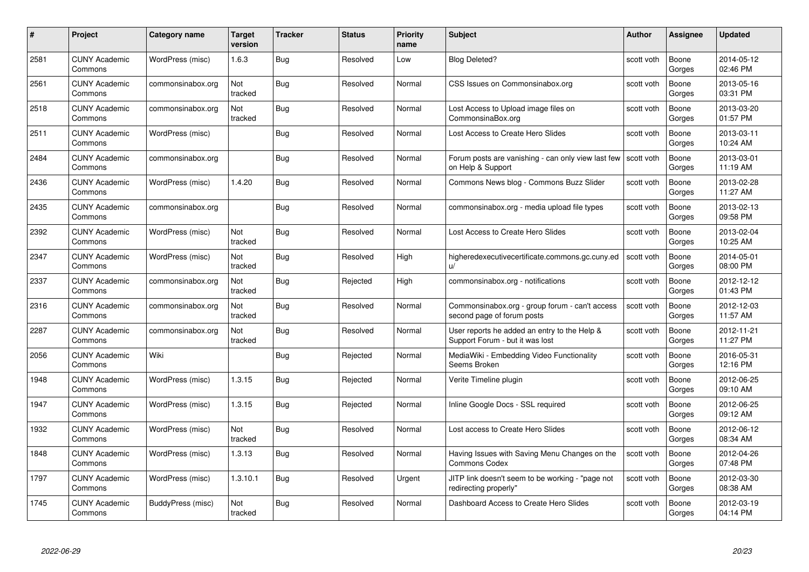| #    | Project                         | <b>Category name</b> | Target<br>version | <b>Tracker</b> | <b>Status</b> | <b>Priority</b><br>name | <b>Subject</b>                                                                  | <b>Author</b> | <b>Assignee</b> | <b>Updated</b>         |
|------|---------------------------------|----------------------|-------------------|----------------|---------------|-------------------------|---------------------------------------------------------------------------------|---------------|-----------------|------------------------|
| 2581 | <b>CUNY Academic</b><br>Commons | WordPress (misc)     | 1.6.3             | <b>Bug</b>     | Resolved      | Low                     | <b>Blog Deleted?</b>                                                            | scott voth    | Boone<br>Gorges | 2014-05-12<br>02:46 PM |
| 2561 | <b>CUNY Academic</b><br>Commons | commonsinabox.org    | Not<br>tracked    | Bug            | Resolved      | Normal                  | CSS Issues on Commonsinabox.org                                                 | scott voth    | Boone<br>Gorges | 2013-05-16<br>03:31 PM |
| 2518 | <b>CUNY Academic</b><br>Commons | commonsinabox.org    | Not<br>tracked    | Bug            | Resolved      | Normal                  | Lost Access to Upload image files on<br>CommonsinaBox.org                       | scott voth    | Boone<br>Gorges | 2013-03-20<br>01:57 PM |
| 2511 | <b>CUNY Academic</b><br>Commons | WordPress (misc)     |                   | Bug            | Resolved      | Normal                  | Lost Access to Create Hero Slides                                               | scott voth    | Boone<br>Gorges | 2013-03-11<br>10:24 AM |
| 2484 | <b>CUNY Academic</b><br>Commons | commonsinabox.org    |                   | Bug            | Resolved      | Normal                  | Forum posts are vanishing - can only view last few<br>on Help & Support         | scott voth    | Boone<br>Gorges | 2013-03-01<br>11:19 AM |
| 2436 | <b>CUNY Academic</b><br>Commons | WordPress (misc)     | 1.4.20            | Bug            | Resolved      | Normal                  | Commons News blog - Commons Buzz Slider                                         | scott voth    | Boone<br>Gorges | 2013-02-28<br>11:27 AM |
| 2435 | <b>CUNY Academic</b><br>Commons | commonsinabox.org    |                   | Bug            | Resolved      | Normal                  | commonsinabox.org - media upload file types                                     | scott voth    | Boone<br>Gorges | 2013-02-13<br>09:58 PM |
| 2392 | <b>CUNY Academic</b><br>Commons | WordPress (misc)     | Not<br>tracked    | Bug            | Resolved      | Normal                  | Lost Access to Create Hero Slides                                               | scott voth    | Boone<br>Gorges | 2013-02-04<br>10:25 AM |
| 2347 | <b>CUNY Academic</b><br>Commons | WordPress (misc)     | Not<br>tracked    | Bug            | Resolved      | High                    | higheredexecutivecertificate.commons.gc.cuny.ed<br>u/                           | scott voth    | Boone<br>Gorges | 2014-05-01<br>08:00 PM |
| 2337 | <b>CUNY Academic</b><br>Commons | commonsinabox.org    | Not<br>tracked    | Bug            | Rejected      | High                    | commonsinabox.org - notifications                                               | scott voth    | Boone<br>Gorges | 2012-12-12<br>01:43 PM |
| 2316 | <b>CUNY Academic</b><br>Commons | commonsinabox.org    | Not<br>tracked    | Bug            | Resolved      | Normal                  | Commonsinabox.org - group forum - can't access<br>second page of forum posts    | scott voth    | Boone<br>Gorges | 2012-12-03<br>11:57 AM |
| 2287 | <b>CUNY Academic</b><br>Commons | commonsinabox.org    | Not<br>tracked    | <b>Bug</b>     | Resolved      | Normal                  | User reports he added an entry to the Help &<br>Support Forum - but it was lost | scott voth    | Boone<br>Gorges | 2012-11-21<br>11:27 PM |
| 2056 | <b>CUNY Academic</b><br>Commons | Wiki                 |                   | <b>Bug</b>     | Rejected      | Normal                  | MediaWiki - Embedding Video Functionality<br>Seems Broken                       | scott voth    | Boone<br>Gorges | 2016-05-31<br>12:16 PM |
| 1948 | <b>CUNY Academic</b><br>Commons | WordPress (misc)     | 1.3.15            | <b>Bug</b>     | Rejected      | Normal                  | Verite Timeline plugin                                                          | scott voth    | Boone<br>Gorges | 2012-06-25<br>09:10 AM |
| 1947 | CUNY Academic<br>Commons        | WordPress (misc)     | 1.3.15            | Bug            | Rejected      | Normal                  | Inline Google Docs - SSL required                                               | scott voth    | Boone<br>Gorges | 2012-06-25<br>09:12 AM |
| 1932 | <b>CUNY Academic</b><br>Commons | WordPress (misc)     | Not<br>tracked    | Bug            | Resolved      | Normal                  | Lost access to Create Hero Slides                                               | scott voth    | Boone<br>Gorges | 2012-06-12<br>08:34 AM |
| 1848 | <b>CUNY Academic</b><br>Commons | WordPress (misc)     | 1.3.13            | Bug            | Resolved      | Normal                  | Having Issues with Saving Menu Changes on the<br><b>Commons Codex</b>           | scott voth    | Boone<br>Gorges | 2012-04-26<br>07:48 PM |
| 1797 | <b>CUNY Academic</b><br>Commons | WordPress (misc)     | 1.3.10.1          | <b>Bug</b>     | Resolved      | Urgent                  | JITP link doesn't seem to be working - "page not<br>redirecting properly"       | scott voth    | Boone<br>Gorges | 2012-03-30<br>08:38 AM |
| 1745 | CUNY Academic<br>Commons        | BuddyPress (misc)    | Not<br>tracked    | Bug            | Resolved      | Normal                  | Dashboard Access to Create Hero Slides                                          | scott voth    | Boone<br>Gorges | 2012-03-19<br>04:14 PM |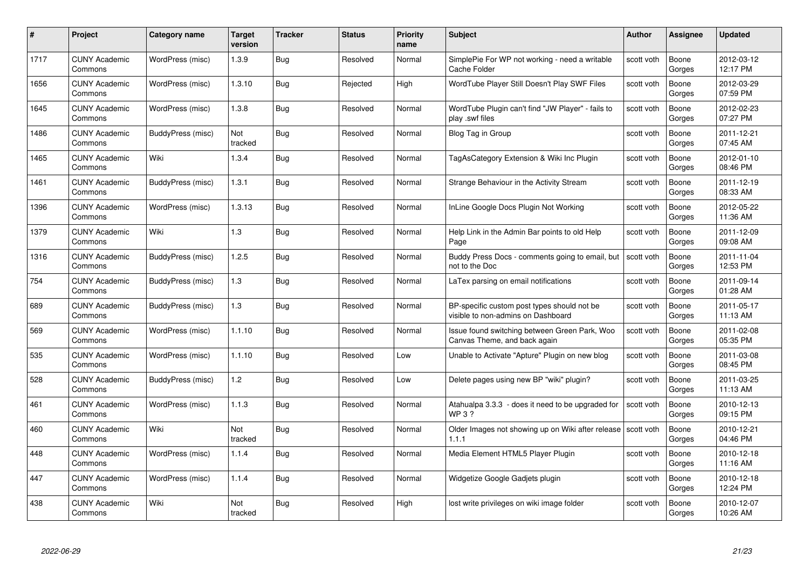| #    | Project                         | <b>Category name</b> | Target<br>version | <b>Tracker</b> | <b>Status</b> | <b>Priority</b><br>name | <b>Subject</b>                                                                    | <b>Author</b> | <b>Assignee</b> | <b>Updated</b>         |
|------|---------------------------------|----------------------|-------------------|----------------|---------------|-------------------------|-----------------------------------------------------------------------------------|---------------|-----------------|------------------------|
| 1717 | <b>CUNY Academic</b><br>Commons | WordPress (misc)     | 1.3.9             | <b>Bug</b>     | Resolved      | Normal                  | SimplePie For WP not working - need a writable<br>Cache Folder                    | scott voth    | Boone<br>Gorges | 2012-03-12<br>12:17 PM |
| 1656 | <b>CUNY Academic</b><br>Commons | WordPress (misc)     | 1.3.10            | Bug            | Rejected      | High                    | WordTube Player Still Doesn't Play SWF Files                                      | scott voth    | Boone<br>Gorges | 2012-03-29<br>07:59 PM |
| 1645 | <b>CUNY Academic</b><br>Commons | WordPress (misc)     | 1.3.8             | Bug            | Resolved      | Normal                  | WordTube Plugin can't find "JW Player" - fails to<br>play .swf files              | scott voth    | Boone<br>Gorges | 2012-02-23<br>07:27 PM |
| 1486 | <b>CUNY Academic</b><br>Commons | BuddyPress (misc)    | Not<br>tracked    | Bug            | Resolved      | Normal                  | Blog Tag in Group                                                                 | scott voth    | Boone<br>Gorges | 2011-12-21<br>07:45 AM |
| 1465 | <b>CUNY Academic</b><br>Commons | Wiki                 | 1.3.4             | Bug            | Resolved      | Normal                  | TagAsCategory Extension & Wiki Inc Plugin                                         | scott voth    | Boone<br>Gorges | 2012-01-10<br>08:46 PM |
| 1461 | <b>CUNY Academic</b><br>Commons | BuddyPress (misc)    | 1.3.1             | Bug            | Resolved      | Normal                  | Strange Behaviour in the Activity Stream                                          | scott voth    | Boone<br>Gorges | 2011-12-19<br>08:33 AM |
| 1396 | <b>CUNY Academic</b><br>Commons | WordPress (misc)     | 1.3.13            | Bug            | Resolved      | Normal                  | InLine Google Docs Plugin Not Working                                             | scott voth    | Boone<br>Gorges | 2012-05-22<br>11:36 AM |
| 1379 | <b>CUNY Academic</b><br>Commons | Wiki                 | 1.3               | Bug            | Resolved      | Normal                  | Help Link in the Admin Bar points to old Help<br>Page                             | scott voth    | Boone<br>Gorges | 2011-12-09<br>09:08 AM |
| 1316 | <b>CUNY Academic</b><br>Commons | BuddyPress (misc)    | 1.2.5             | Bug            | Resolved      | Normal                  | Buddy Press Docs - comments going to email, but  <br>not to the Doc               | scott voth    | Boone<br>Gorges | 2011-11-04<br>12:53 PM |
| 754  | <b>CUNY Academic</b><br>Commons | BuddyPress (misc)    | 1.3               | Bug            | Resolved      | Normal                  | LaTex parsing on email notifications                                              | scott voth    | Boone<br>Gorges | 2011-09-14<br>01:28 AM |
| 689  | <b>CUNY Academic</b><br>Commons | BuddyPress (misc)    | 1.3               | <b>Bug</b>     | Resolved      | Normal                  | BP-specific custom post types should not be<br>visible to non-admins on Dashboard | scott voth    | Boone<br>Gorges | 2011-05-17<br>11:13 AM |
| 569  | <b>CUNY Academic</b><br>Commons | WordPress (misc)     | 1.1.10            | Bug            | Resolved      | Normal                  | Issue found switching between Green Park, Woo<br>Canvas Theme, and back again     | scott voth    | Boone<br>Gorges | 2011-02-08<br>05:35 PM |
| 535  | <b>CUNY Academic</b><br>Commons | WordPress (misc)     | 1.1.10            | <b>Bug</b>     | Resolved      | Low                     | Unable to Activate "Apture" Plugin on new blog                                    | scott voth    | Boone<br>Gorges | 2011-03-08<br>08:45 PM |
| 528  | <b>CUNY Academic</b><br>Commons | BuddyPress (misc)    | 1.2               | <b>Bug</b>     | Resolved      | Low                     | Delete pages using new BP "wiki" plugin?                                          | scott voth    | Boone<br>Gorges | 2011-03-25<br>11:13 AM |
| 461  | <b>CUNY Academic</b><br>Commons | WordPress (misc)     | 1.1.3             | Bug            | Resolved      | Normal                  | Atahualpa 3.3.3 - does it need to be upgraded for<br>WP 3?                        | scott voth    | Boone<br>Gorges | 2010-12-13<br>09:15 PM |
| 460  | <b>CUNY Academic</b><br>Commons | Wiki                 | Not<br>tracked    | <b>Bug</b>     | Resolved      | Normal                  | Older Images not showing up on Wiki after release<br>1.1.1                        | scott voth    | Boone<br>Gorges | 2010-12-21<br>04:46 PM |
| 448  | <b>CUNY Academic</b><br>Commons | WordPress (misc)     | 1.1.4             | Bug            | Resolved      | Normal                  | Media Element HTML5 Player Plugin                                                 | scott voth    | Boone<br>Gorges | 2010-12-18<br>11:16 AM |
| 447  | <b>CUNY Academic</b><br>Commons | WordPress (misc)     | 1.1.4             | Bug            | Resolved      | Normal                  | Widgetize Google Gadjets plugin                                                   | scott voth    | Boone<br>Gorges | 2010-12-18<br>12:24 PM |
| 438  | CUNY Academic<br>Commons        | Wiki                 | Not<br>tracked    | Bug            | Resolved      | High                    | lost write privileges on wiki image folder                                        | scott voth    | Boone<br>Gorges | 2010-12-07<br>10:26 AM |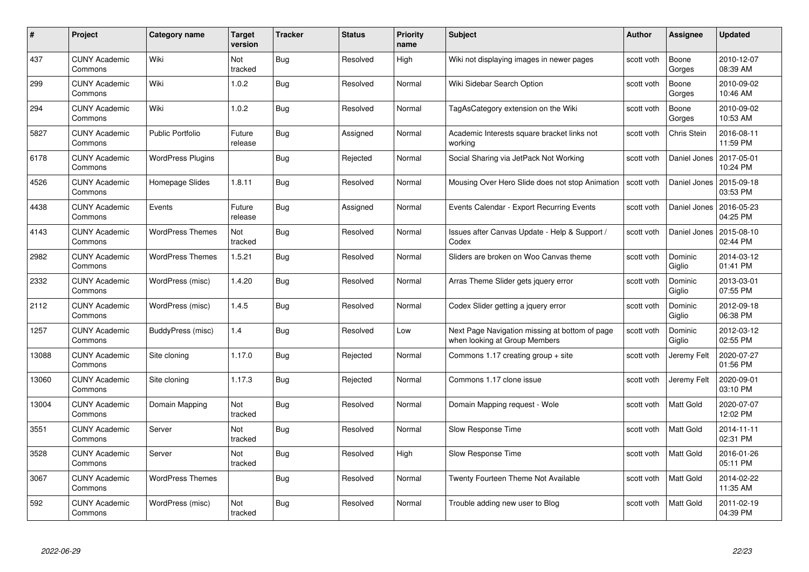| #     | Project                         | <b>Category name</b>     | Target<br>version     | <b>Tracker</b> | <b>Status</b> | <b>Priority</b><br>name | <b>Subject</b>                                                                  | <b>Author</b> | <b>Assignee</b>   | <b>Updated</b>         |
|-------|---------------------------------|--------------------------|-----------------------|----------------|---------------|-------------------------|---------------------------------------------------------------------------------|---------------|-------------------|------------------------|
| 437   | <b>CUNY Academic</b><br>Commons | Wiki                     | <b>Not</b><br>tracked | Bug            | Resolved      | High                    | Wiki not displaying images in newer pages                                       | scott voth    | Boone<br>Gorges   | 2010-12-07<br>08:39 AM |
| 299   | <b>CUNY Academic</b><br>Commons | Wiki                     | 1.0.2                 | <b>Bug</b>     | Resolved      | Normal                  | Wiki Sidebar Search Option                                                      | scott voth    | Boone<br>Gorges   | 2010-09-02<br>10:46 AM |
| 294   | <b>CUNY Academic</b><br>Commons | Wiki                     | 1.0.2                 | Bug            | Resolved      | Normal                  | TagAsCategory extension on the Wiki                                             | scott voth    | Boone<br>Gorges   | 2010-09-02<br>10:53 AM |
| 5827  | <b>CUNY Academic</b><br>Commons | Public Portfolio         | Future<br>release     | Bug            | Assigned      | Normal                  | Academic Interests square bracket links not<br>workina                          | scott voth    | Chris Stein       | 2016-08-11<br>11:59 PM |
| 6178  | CUNY Academic<br>Commons        | <b>WordPress Plugins</b> |                       | Bug            | Rejected      | Normal                  | Social Sharing via JetPack Not Working                                          | scott voth    | Daniel Jones      | 2017-05-01<br>10:24 PM |
| 4526  | <b>CUNY Academic</b><br>Commons | Homepage Slides          | 1.8.11                | Bug            | Resolved      | Normal                  | Mousing Over Hero Slide does not stop Animation                                 | scott voth    | Daniel Jones      | 2015-09-18<br>03:53 PM |
| 4438  | <b>CUNY Academic</b><br>Commons | Events                   | Future<br>release     | Bug            | Assigned      | Normal                  | Events Calendar - Export Recurring Events                                       | scott voth    | Daniel Jones      | 2016-05-23<br>04:25 PM |
| 4143  | <b>CUNY Academic</b><br>Commons | <b>WordPress Themes</b>  | Not<br>tracked        | Bug            | Resolved      | Normal                  | Issues after Canvas Update - Help & Support /<br>Codex                          | scott voth    | Daniel Jones      | 2015-08-10<br>02:44 PM |
| 2982  | <b>CUNY Academic</b><br>Commons | <b>WordPress Themes</b>  | 1.5.21                | <b>Bug</b>     | Resolved      | Normal                  | Sliders are broken on Woo Canvas theme                                          | scott voth    | Dominic<br>Giglio | 2014-03-12<br>01:41 PM |
| 2332  | <b>CUNY Academic</b><br>Commons | WordPress (misc)         | 1.4.20                | Bug            | Resolved      | Normal                  | Arras Theme Slider gets jquery error                                            | scott voth    | Dominic<br>Giglio | 2013-03-01<br>07:55 PM |
| 2112  | CUNY Academic<br>Commons        | WordPress (misc)         | 1.4.5                 | Bug            | Resolved      | Normal                  | Codex Slider getting a jquery error                                             | scott voth    | Dominic<br>Giglio | 2012-09-18<br>06:38 PM |
| 1257  | <b>CUNY Academic</b><br>Commons | BuddyPress (misc)        | 1.4                   | Bug            | Resolved      | Low                     | Next Page Navigation missing at bottom of page<br>when looking at Group Members | scott voth    | Dominic<br>Giglio | 2012-03-12<br>02:55 PM |
| 13088 | <b>CUNY Academic</b><br>Commons | Site cloning             | 1.17.0                | Bug            | Rejected      | Normal                  | Commons 1.17 creating group $+$ site                                            | scott voth    | Jeremy Felt       | 2020-07-27<br>01:56 PM |
| 13060 | <b>CUNY Academic</b><br>Commons | Site cloning             | 1.17.3                | <b>Bug</b>     | Rejected      | Normal                  | Commons 1.17 clone issue                                                        | scott voth    | Jeremy Felt       | 2020-09-01<br>03:10 PM |
| 13004 | <b>CUNY Academic</b><br>Commons | Domain Mapping           | Not<br>tracked        | Bug            | Resolved      | Normal                  | Domain Mapping request - Wole                                                   | scott voth    | Matt Gold         | 2020-07-07<br>12:02 PM |
| 3551  | <b>CUNY Academic</b><br>Commons | Server                   | Not<br>tracked        | Bug            | Resolved      | Normal                  | Slow Response Time                                                              | scott voth    | Matt Gold         | 2014-11-11<br>02:31 PM |
| 3528  | <b>CUNY Academic</b><br>Commons | Server                   | Not<br>tracked        | Bug            | Resolved      | High                    | Slow Response Time                                                              | scott voth    | <b>Matt Gold</b>  | 2016-01-26<br>05:11 PM |
| 3067  | <b>CUNY Academic</b><br>Commons | <b>WordPress Themes</b>  |                       | <b>Bug</b>     | Resolved      | Normal                  | Twenty Fourteen Theme Not Available                                             | scott voth    | Matt Gold         | 2014-02-22<br>11:35 AM |
| 592   | CUNY Academic<br>Commons        | WordPress (misc)         | Not<br>tracked        | Bug            | Resolved      | Normal                  | Trouble adding new user to Blog                                                 | scott voth    | Matt Gold         | 2011-02-19<br>04:39 PM |